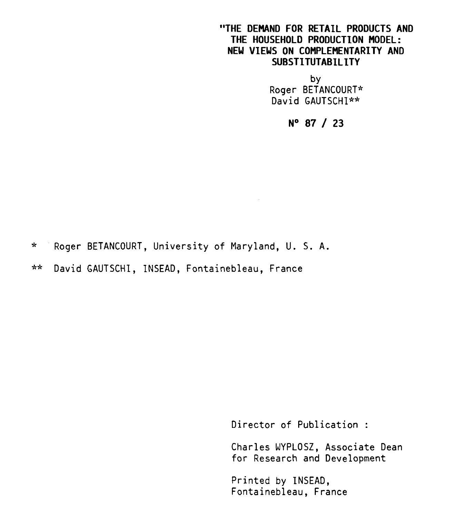## **"THE DEMAND FOR RETAIL PRODUCTS AND THE HOUSEHOLD PRODUCTION MODEL: NEW VIEWS ON COMPLEMENTARITY AND SUBSTITUTABILITY**

by Roger BETANCOURT\* David GAUTSCHI\*\*

**N° 87 / 23** 

\* Roger BETANCOURT, University of Maryland, U. S. A.

\*\* David GAUTSCHI, INSEAD, Fontainebleau, France

Director of Publication :

Charles WYPLOSZ, Associate Dean for Research and Development

Printed by INSEAD, Fontainebleau, France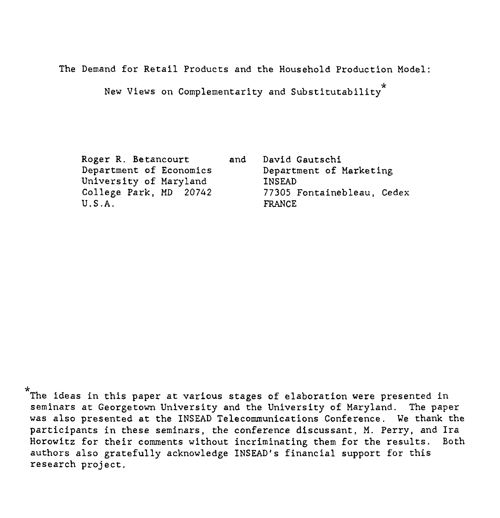The Demand for Retail Products and the Household Production Model:

.<br>New Views on Complementarity and Substitutability  $^\star$ 

Roger R. Betancourt Department of Economics University of Maryland College Park, MD 20742 U.S.A.

and David Gautschi Department of Marketing INSEAD 77305 Fontainebleau, Cedex FRANCE

\* The ideas in this paper at various stages of elaboration were presented in seminars at Georgetown University and the University of Maryland. The paper was also presented at the INSEAD Telecommunications Conference. We thank the participants in these seminars, the conference discussant, M. Perry, and Ira Horowitz for their comments without incriminating them for the results. Both authors also gratefully acknowledge INSEAD's financial support for this research project.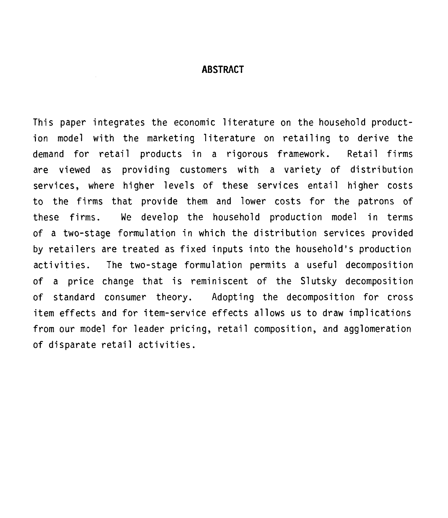### **ABSTRACT**

This paper integrates the economic literature on the household production model with the marketing literature on retailing to derive the demand for retail products in a rigorous framework. Retail firms are viewed as providing customers with a variety of distribution services, where higher levels of these services entail higher costs to the firms that provide them and lower costs for the patrons of these firms. We develop the household production model in terms of a two-stage formulation in which the distribution services provided by retailers are treated as fixed inputs into the household's production activities. The two-stage formulation permits a useful decomposition of a price change that is reminiscent of the Slutsky decomposition of standard consumer theory. Adopting the decomposition for cross item effects and for item-service effects allows us to draw implications from our model for leader pricing, retail composition, and agglomeration of disparate retail activities.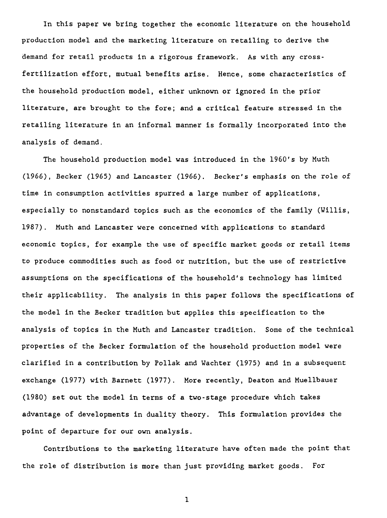In this paper we bring together the economic literature on the household production model and the marketing literature on retailing to derive the demand for retail products in a rigorous framework. As with any crossfertilization effort, mutual benefits arise. Hence, some characteristics of the household production model, either unknown or ignored in the prior literature, are brought to the fore; and a critical feature stressed in the retailing literature in an informai manner is formally incorporated into the analysis of demand.

The household production model was introduced in the 1960's by Muth (1966), Becker (1965) and Lancaster (1966). Becker's emphasis on the role of time in consumption activities spurred a large number of applications, especially to nonstandard topics such as the economics of the family (Willis, 1987). Muth and Lancaster were concerned with applications to standard economic topics, for example the use of specific market goods or retail items to produce commodities such as food or nutrition, but the use of restrictive assumptions on the specifications of the household's technology has limited their applicability. The analysis in this paper follows the specifications of the model in the Becker tradition but applies this specification to the analysis of topics in the Muth and Lancaster tradition. Some of the technical properties of the Becker formulation of the household production model were clarified in a contribution by Pollak and Wachter (1975) and in a subsequent exchange (1977) with Barnett (1977). More recently, Deaton and Muellbauer (1980) set out the model in ternis of a two-stage procedure which takes advantage of developments in duality theory. This formulation provides the point of departure for our own analysis.

Contributions to the marketing literature have often made the point that the role of distribution is more than just providing market goods. For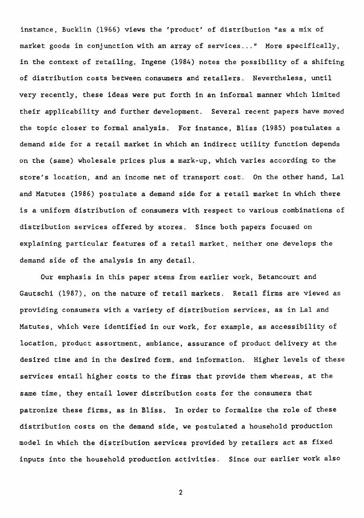instance, Bucklin (1966) views the 'product' of distribution "as a mix of market goods in conjunction with an array of services..." More specifically, in the context of retailing, Ingene (1984) notes the possibility of a shifting of distribution costs between consumers and retailers. Nevertheless, until very recently, these ideas were put forth in an informal manner which limited their applicability and further development. Several recent papers have moved the topic closer to formal analysis. For instance, Bliss (1985) postulates a demand side for a retail market in which an indirect utility function depends on the (same) wholesale prices plus a mark-up, which varies according to the store's location, and an income net of transport cost. On the other hand, Lal and Matutes (1986) postulate a demand side for a retail market in which there is a uniform distribution of consumers with respect to various combinations of distribution services offered by stores. Since both papers focused on explaining particular features of a retail market, neither one develops the demand side of the analysis in any detail.

Our emphasis in this paper stems from earlier work, Betancourt and Gautschi (1987), on the nature of retail markets. Retail firms are viewed as providing consumers with a variety of distribution services, as in Lal and Matutes, which were identified in our work, for example, as accessibility of location, product assortment, ambiance, assurance of product delivery at the desired time and in the desired form, and information. Higher levels of these services entail higher costs to the firms that provide them whereas, at the same time, they entail lover distribution costs for the consumers that patronize these firms, as in Bliss. In order to formalize the role of these distribution costs on the demand side, we postulated a household production model in which the distribution services provided by retailers act as fixed inputs into the household production activities. Since our earlier work also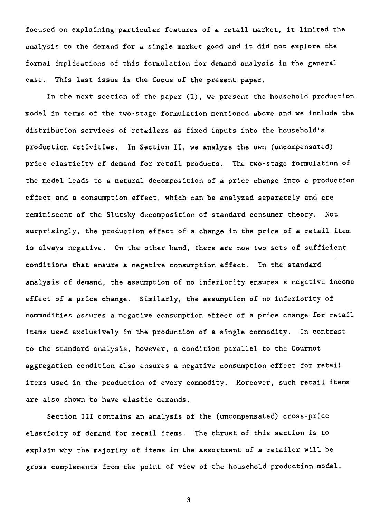focused on explaining particular features of a retail market, it limited the analysis to the demand for a single market good and it did not explore the formai implications of this formulation for demand analysis in the general case. This last issue is the focus of the present paper.

In the next section of the paper (I), we present the household production model in terms of the two-stage formulation mentioned above and we include the distribution services of retailers as fixed inputs into the household's production activities. In Section II, we analyze the own (uncompensated) price elasticity of demand for retail products. The two-stage formulation of the model leads to a natural decomposition of a price change into a production effect and a consumption effect, which can be analyzed separately and are reminiscent of the Slutsky decomposition of standard consumer theory. Not surprisingly, the production effect of a change in the price of a retail item is always negative. On the other band, there are now two sets of sufficient conditions that ensure a negative consumption effect. In the standard analysis of demand, the assumption of no inferiority ensures a negative income effect of a price change. Similarly, the assumption of no inferiority of commodities assures a negative consumption effect of a price change for retail items used exclusively in the production of a single commodity. In contrast to the standard analysis, however, a condition parallel to the Cournot aggregation condition also ensures a negative consumption effect for retail items used in the production of every commodity. Moreover, such retail items are also shown to have elastic demands.

Section III contains an analysis of the (uncompensated) cross-price elasticity of demand for retail items. The thrust of this section is to explain why the majority of items in the assortment of a retailer will be gross complements from the point of view of the household production model.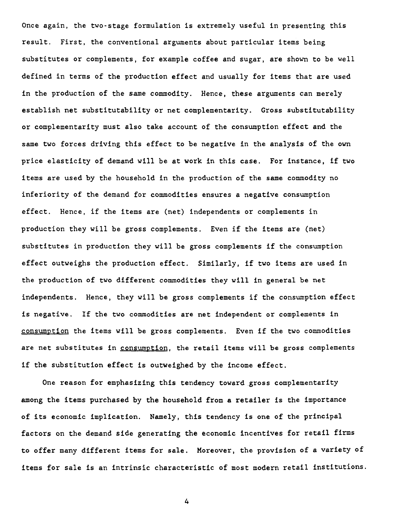Once again, the two-stage formulation is extremely useful in presenting this resuit. First, the conventional arguments about particular items being substitutes or complements, for example coffee and sugar, are shown to be well defined in terms of the production effect and usually for items that are used in the production of the same commodity. Hence, these arguments can merely establish net substitutability or net complementarity. Gross substitutability or complementarity must also take account of the consumption effect and the same two forces driving this effect to be negative in the analysis of the own price elasticity of demand will be at work in this case. For instance, if two items are used by the household in the production of the same commodity no inferiority of the demand for commodities ensures a negative consumption effect. Hence, if the items are (net) independents or complements in production they will be gross complements. Even if the items are (net) substitutes in production they will be gross complements if the consumption effect outweighs the production effect. Similarly, if two items are used in the production of two different commodities they will in general be net independents. Hence, they will be gross complements if the consumption effect is negative. If the two commodities are net independent or complements in consumption the items will be gross complements. Even if the two commodities are net substitutes in consumption, the retail items will be gross complements if the substitution effect is outweighed by the income effect.

One reason for emphasizing this tendency toward gross complementarity among the items purchased by the household from a retailer is the importance of its economic implication. Namely, this tendency is one of the principal factors on the demand side generating the economic incentives for retail firms to offer many different items for sale. Moreover, the provision of a variety of items for sale is an intrinsic characteristic of most modern retail institutions.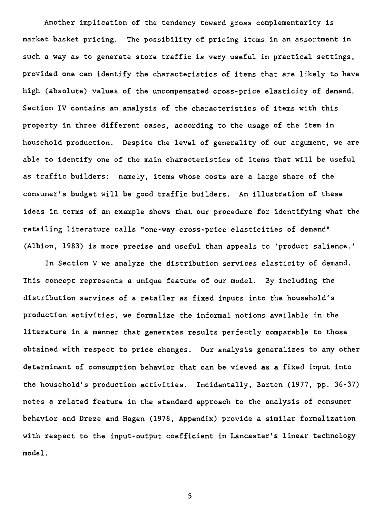Another implication of the tendency toward gross complementarity is market basket pricing. The possibility of pricing items in an assortment in such a way as to generate store traffic is very useful in practical settings, provided one can identify the characteristics of items that are likely to have high (absolute) values of the uncompensated cross-price elasticity of demand. Section IV contains an analysis of the characteristics of items with this property in three different cases, according to the usage of the item in household production. Despite the level of generality of our argument, we are able to identify one of the main characteristics of items that will be useful as traffic builders: namely, items whose costs are a large share of the consumer's budget will be good traffic builders. An illustration of these ideas in terms of an example shows that our procedure for identifying what the retailing literature calls "one-way cross-price elasticities of demand" (Albion, 1983) is more precise and useful than appeals to 'product salience.'

In Section V we analyze the distribution services elasticity of demand. This concept represents a unique feature of our model. By including the distribution services of a retailer as fixed inputs into the household's production activities, we formalize the informai notions available in the literature in a manner that generates results perfectly comparable to those obtained with respect to price changes. Our analysis generalizes to any other determinant of consumption behavior that can be viewed as a fixed input into the household's production activities. Incidentally, Barten (1977, pp. 36-37) notes a related feature in the standard approach to the analysis of consumer behavior and Dreze and Hagen (1978, Appendix) provide a similar formalization with respect to the input-output coefficient in Lancaster's linear technology model.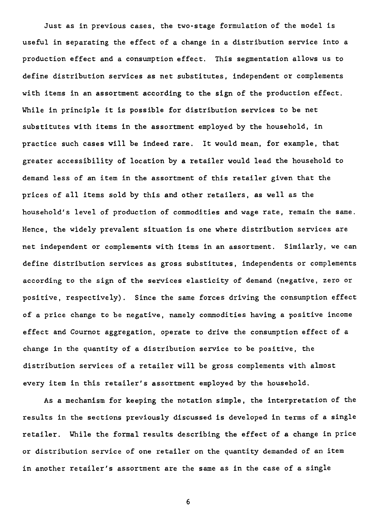Just as in previous cases, the two-stage formulation of the model is useful in separating the effect of a change in a distribution service into a production effect and a consumption effect. This segmentation allows us to define distribution services as net substitutes, independent or complements with items in an assortment according to the sign of the production effect. While in principle it is possible for distribution services to be net substitutes with items in the assortment employed by the household, in practice such cases will be indeed rare. It would mean, for example, that greater accessibility of location by a retailer would lead the household to demand less of an item in the assortment of this retailer given that the prices of ail items sold by this and other retailers, as well as the household's level of production of commodities and wage rate, remain the same. Hence, the widely prevalent situation is one where distribution services are net independent or complements with items in an assortment. Similarly, we can define distribution services as gross substitutes, independents or complements according to the sign of the services elasticity of demand (negative, zero or positive, respectively). Since the same forces driving the consumption effect of a price change to be negative, namely commodities having a positive income effect and Cournot aggregation, operate to drive the consumption effect of a change in the quantity of a distribution service to be positive, the distribution services of a retailer will be gross complements with almost every item in this retailer's assortment employed by the household.

As a mechanism for keeping the notation simple, the interpretation of the results in the sections previously discussed is developed in terras of a single retailer. While the formai results describing the effect of **a** change in price or distribution service of one retailer on the quantity demanded of an item in another retailer's assortment are the same as in the case of a single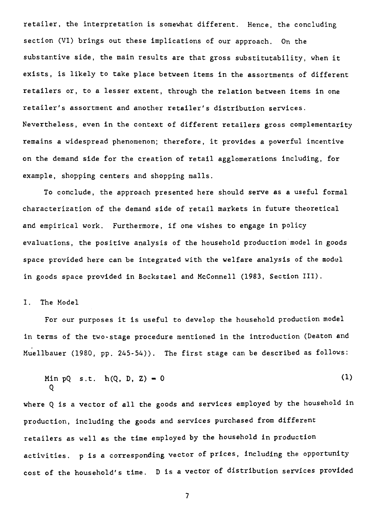retailer, the interpretation is somewhat different. Hence, the concluding section (VI) brings out these implications of our approach. On the substantive side, the main results are that gross substitutability, when it exists, is likely to take place between items in the assortments of different retailers or, to a lesser extent, through the relation between items in one retailer's assortment and another retailer's distribution services. Nevertheless, even in the context of different retailers gross complementarity remains a widespread phenomenon; therefore, it provides a powerful incentive on the demand side for the creation of retail agglomerations including, for example, shopping centers and shopping malls.

To conciude, the approach presented here should serve as a useful formai characterization of the demand side of retail markets in future theoretical and empirical work. Furthermore, if one wishes to engage in policy evaluations, the positive analysis of the household production model in goods space provided here can be integrated with the welfare analysis of the model in goods space provided in Bockstael and McConnell (1983, Section III).

#### I. The Model

For our purposes it is useful to develop the household production model in terms of the two-stage procedure mentioned in the introduction (Deaton and Muellbauer (1980, pp. 245-54)). The first stage can be described as follows:

Min pQ s.t. 
$$
h(Q, D, Z) = 0
$$
 (1)

where Q is a vector **of ail** the goods and services employed by the household in production, including the goods and services purchased from different retailers as well as the time employed by the household in production activities. p is a corresponding vector of prices, including the opportunity cost of the household's time. D is a vector of distribution services provided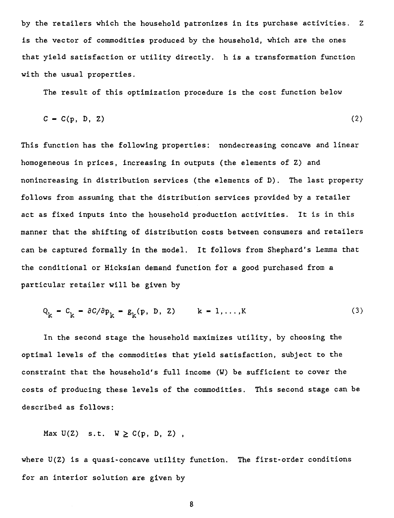by the retailers which the household patronizes in its purchase activities. Z is the vector of commodities produced by the household, which are the ones that yield satisfaction or utility directly. h is a transformation function with the usual properties.

The result of this optimization procedure is the cost function below

$$
C = C(p, D, Z) \tag{2}
$$

This function has the following properties: nondecreasing concave and linear homogeneous in prices, increasing in outputs (the elements of Z) and nonincreasing in distribution services (the elements of D). The last property follows from assuming that the distribution services provided by a retailer act as fixed inputs into the household production activities. It is in this manner that the shifting of distribution costs between consumers and retailers can be captured formally in the model. It follows from Shephard's Lemma that the conditional or Hicksian demand function for a good purchased from a particular retailer will be given by

$$
Q_k = C_k = \partial C/\partial p_k = g_k(p, D, Z) \qquad k = 1, ..., K
$$
 (3)

In the second stage the household maximizes utility, by choosing the optimal levels of the commodities that yield satisfaction, subject to the constraint that the household's full income (W) be sufficient to cover the costs of producing these levels of the commodities. This second stage can be described as follows:

$$
\text{Max } U(Z) \quad s.t. \quad W \geq C(p, D, Z) ,
$$

where  $U(Z)$  is a quasi-concave utility function. The first-order conditions for an interior solution are given by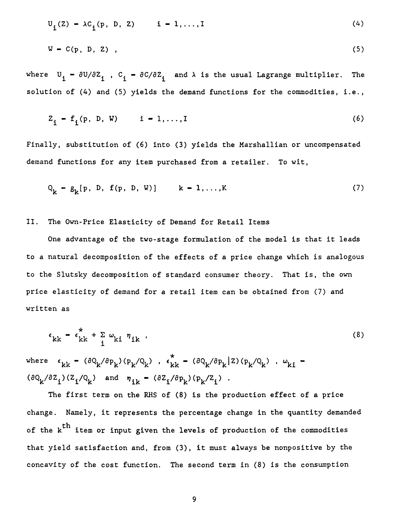$$
U_{i}(Z) - \lambda C_{i}(p, D, Z) \t i - 1, ..., I \t(4)
$$
  
W - C(p, D, Z), (5)

where  $U_i = \partial U/\partial Z_i$ ,  $C_i = \partial C/\partial Z_i$  and  $\lambda$  is the usual Lagrange multiplier. The solution of (4) and (5) yields the demand functions for the commodities, i.e.,

$$
Z_{i} = f_{i}(p, D, W) \qquad i = 1,..., I
$$
 (6)

Finally, substitution of (6) into (3) yields the Marshallian or uncompensated demand functions for any item purchased from a retailer. To wit,

$$
Q_k = g_k[p, D, f(p, D, W)] \qquad k = 1,...,K
$$
 (7)

II. The Own-Price Elasticity of Demand for Retail Items

One advantage of the two-stage formulation of the model is that it leads to a natural decomposition of the effects of a price change which is analogous to the Slutsky decomposition of standard consumer theory. That is, the own price elasticity of demand for a retail item can be obtained from (7) and written as

$$
\epsilon_{kk} = \epsilon_{kk}^* + \sum_{i} \omega_{ki} \eta_{ik} \tag{8}
$$

where  $\epsilon_{kk}$  -  $(\partial Q_k / \partial p_k) (p_k / Q_k)$ ,  $\epsilon_{kk}^*$  -  $(\partial Q_k / \partial p_k | Z) (p_k / Q_k)$ ,  $\omega_{ki}$  - $(\partial Q_k/\partial Z_i)(Z_i/Q_k)$  and  $\eta_{ik} = (\partial Z_i/\partial p_k)(p_k/Z_i)$ .

The first term on the RHS of (8) is the production effect of a price change. Namely, it represents the percentage change in the quantity demanded of the k<sup>th</sup> item or input given the levels of production of the commodities that yield satisfaction and, from (3), it must always be nonpositive by the concavity of the cost function. The second term in  $(8)$  is the consumption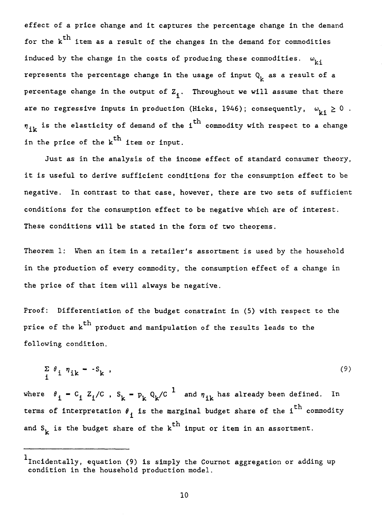effect of a price change and it captures the percentage change in the demand for the  $k^{th}$  item as a result of the changes in the demand for commodities induced by the change in the costs of producing these commodities.  $\omega_{i,j}$ represents the percentage change in the usage of input  $Q_i$  as a result of a percentage change in the output of  $Z_i$ . Throughout we will assume that there are no regressive inputs in production (Hicks, 1946); consequently,  $\omega_{i,j} \geq 0$ .  $n_{i\mathbf{k}}$  is the elasticity of demand of the i<sup>th</sup> commodity with respect to a change in the price of the  $k<sup>th</sup>$  item or input.

Just as in the analysis of the income effect of standard consumer theory, it is useful to derive sufficient conditions for the consumption effect to be negative. In contrast to that case, however, there are two sets of sufficient conditions for the consumption effect to be negative which are of interest. These conditions will be stated in the form of two theorems.

Theorem 1: When an item in a retailer's assortment is used by the household in the production of every commodity, the consumption effect of a change in the price of that item will always be negative.

Proof: Differentiation of the budget constraint in (5) with respect to the price of the k<sup>th</sup> product and manipulation of the results leads to the following condition.

$$
\sum_{i} \theta_{i} \eta_{ik} = -S_{k} \tag{9}
$$

where  $\theta_{\textbf{i}} = C_{\textbf{i}} Z_{\textbf{i}}/C$  ,  $S_{\textbf{k}} = P_{\textbf{k}} Q_{\textbf{k}}/C^{\textbf{1}}$  and  $\eta_{\textbf{i}\textbf{k}}$  has already been defined. In terms of interpretation  $\theta_{\textbf{i}}$  is the marginal budget share of the i<sup>th</sup> commodity and  $S_k$  is the budget share of the  $k^{th}$  input or item in an assortment.

<sup>&</sup>lt;sup>1</sup>Incidentally, equation (9) is simply the Cournot aggregation or adding up condition in the household production model.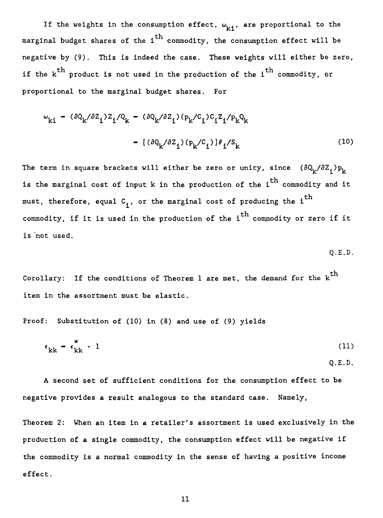If the weights in the consumption effect,  $\omega_{k,i}$ , are proportional to the marginal budget shares of the i<sup>th</sup> commodity, the consumption effect will be negative by (9). This is indeed the case. These weights will either be zero, if the  $k<sup>th</sup>$  product is not used in the production of the i<sup>th</sup> commodity, or proportional to the marginal budget shares. For

$$
\omega_{ki} = (\partial Q_k / \partial Z_i) Z_i / Q_k = (\partial Q_k / \partial Z_i) (p_k / C_i) C_i Z_i / p_k Q_k
$$

$$
= [(\partial Q_k / \partial Z_i) (p_k / C_i)] \theta_i / S_k
$$
(10)

The term in square brackets will either be zero or unity, since  $(\partial Q_k/\partial Z_i)p_k$ is the marginal cost of input k in the production of the i<sup>th</sup> commodity and it must, therefore, equal  $c_{\bf i}^{\phantom{\dag}}$ , or the marginal cost of producing the i $^{\rm th}$ is 'met used. commodity, if it is used in the production of the  $i^{\mathrm{th}}$  commodity or zero if it

$$
\mathsf{Q.E.D.}
$$

Corollary: If the conditions of Theorem 1 are met, the demand for the  $k^{th}$ item in the assortment must be elastic.

Proof: Substitution of (10) in (8) and use of (9) yields

$$
\epsilon_{kk} = \epsilon_{kk}^* - 1 \tag{11}
$$

Q.E.D.

A second set of sufficient conditions for the consumption effect to be negative provides a result analogous to the standard case. Namely,

Theorem 2: When an item in a retailer's assortment is used exclusively in the production of a single commodity, the consumption effect will be negative if the commodity is a normal commodity in the sense of having a positive income effect.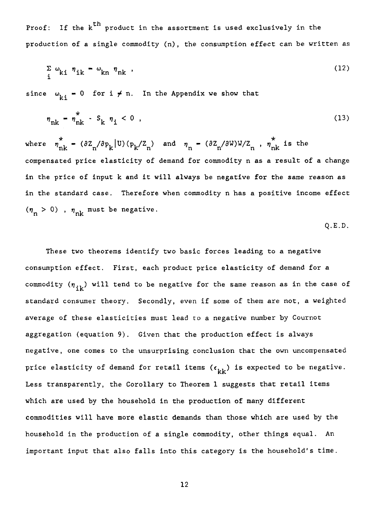Proof: If the  $k^{th}$  product in the assortment is used exclusively in the production of a single commodity (n), the consumption effect can be written as

$$
\sum_{i} \omega_{ki} \eta_{ik} - \omega_{kn} \eta_{nk} \tag{12}
$$

since  $\omega_{\mathbf{k}i} = 0$  for  $i \neq n$ . In the Appendix we show that

$$
\eta_{nk} = \eta_{nk}^* - S_k \eta_i < 0 \tag{13}
$$

where  $\hat{\eta}_{nk} = (\partial Z_n / \partial p_k | U) (p_k / Z_n)$  and  $\eta_n = (\partial Z_n / \partial W) W / Z_n$ ,  $\hat{\eta}_{nk}$  is the compensated price elasticity of demand for commodity n as a result of a change in the price of input k and it will always be negative for the same reason as in the standard case. Therefore when commodity n has a positive income effect  $(\eta_n > 0)$ ,  $\eta_{nk}$  must be negative.

Q.E.D.

These two theorems identify two basic forces leading to a negative consumption effect. First, each product price elasticity of demand for a commodity  $(\eta_{ik})$  will tend to be negative for the same reason as in the case of standard consumer theory. Secondly, even if some of them are not, a weighted average of these elasticities must lead to a negative number by Cournot aggregation (equation 9). Given that the production effect is always negative, one comes to the unsurprising conclusion that the own uncompensated price elasticity of demand for retail items  $(\epsilon_{\rm kk}^{})$  is expected to be negative. Less transparently, the Corollary to Theorem 1 suggests that retail items which are used by the household in the production of many different commodities will have more elastic demands than those which are used by the household in the production of a single commodity, other things equal. An important input that also falls into this category is the household's time.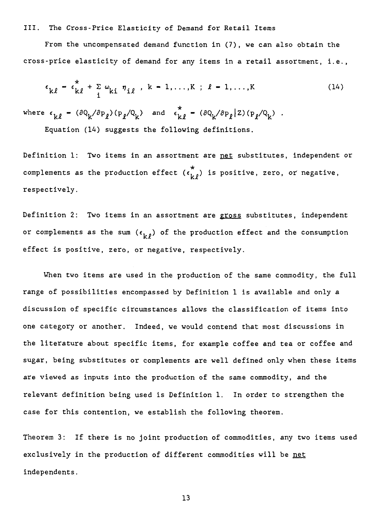#### III. The Cross-Price Elasticity of Demand for Retail Items

From the uncompensated demand function in (7), we can also obtain the cross-price elasticity of demand for any items in a retail assortment, i.e.,

$$
\epsilon_{k\ell} = \epsilon_{k\ell}^* + \sum_{i} \omega_{ki} \eta_{i\ell} , k = 1, ..., K ; \ell = 1, ..., K
$$
 (14)

where  $\epsilon_{k\ell}$  =  $(\partial Q_k/\partial p_\ell)(p_\ell/Q_k)$  and  $\epsilon_{k\ell}^*$  =  $(\partial Q_k/\partial p_\ell|Z)(p_\ell/Q_k)$ .

Equation (14) suggests the following definitions.

Definition 1: Two items in an assortment are net substitutes, independent or complements as the production effect  $(\epsilon_{i,\ell}^*)$  is positive, zero, or negative, respectively.

Definition 2: Two items in an assortment are gross substitutes, independent or complements as the sum  $(\epsilon_{k,0})$  of the production effect and the consumption effect is positive, zero, or negative, respectively.

When two items are used in the production of the same commodity, the full range of possibilities encompassed by Definition 1 is available and only a discussion of specific circumstances allows the classification of items into one category or another. Indeed, we would contend that most discussions in the literature about specific items, for example coffee and tea or coffee and sugar, being substitutes or complements are well defined only when these items are viewed as inputs into the production of the same commodity, and the relevant definition being used is Definition 1. In order to strengthen the case for this contention, we establish the following theorem.

Theorem 3: If there is no joint production of commodities, any two items used exclusively in the production of different commodities will be net independents.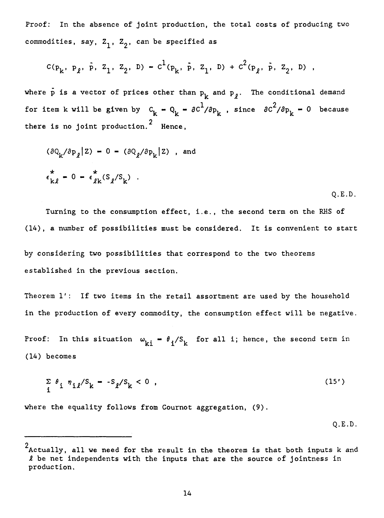Proof: In the absence of joint production, the total costs of producing two commodities, say,  $Z_1$ ,  $Z_2$ , can be specified as

$$
c(p_k, p_\ell, \bar{p}, z_1, z_2, D) - c^1(p_k, \bar{p}, z_1, D) + c^2(p_\ell, \bar{p}, z_2, D)
$$

where p is a vector of prices other than  $p_k$  and  $p_{\theta}$ . The conditional demand for item k will be given by  $C_k - Q_k = \frac{\partial C^1}{\partial p_k}$ , since  $\frac{\partial C^2}{\partial p_k} - 0$  because there is no joint production.<sup>2</sup> Hence,

$$
(\partial Q_k / \partial p_{\ell} | Z) = 0 - (\partial Q_{\ell} / \partial p_k | Z) \text{ , and}
$$
  

$$
\epsilon_{k\ell}^* = 0 - \epsilon_{\ell k}^* (S_{\ell} / S_k) .
$$
 Q.E.D.

Turning to the consumption effect, i.e., the second term on the RHS of (14), a number of possibilities must be considered. It is convenient to start

by considering two possibilities that correspond to the two theorems established in the previous section.

Theorem l': If two items in the retail assortment are used by the household in the production of every commodity, the consumption effect will be negative.

Proof: In this situation  $\omega_{\mathbf{k}i} = \theta_i / S_{\mathbf{k}}$  for all i; hence, the second term in (14) becomes

$$
\sum_{i} \theta_{i} \eta_{i\ell}/S_{k} = -S_{\ell}/S_{k} < 0 , \qquad (15')
$$

where the equality follows from Cournot aggregation, (9).

Q.E.D.

<sup>2</sup> Actually, ail we need for the result in the theorem is that both inputs k and  $\ell$  be net independents with the inputs that are the source of jointness in production.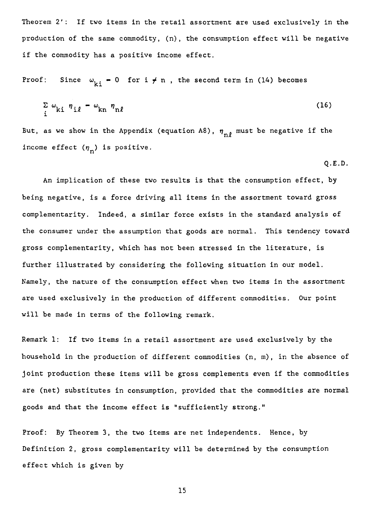Theorem 2': If two items in the retail assortment are used exclusively in the production of the same commodity, (n), the consumption effect will be negative if the commodity has a positive income effect.

Proof: Since  $\omega_{ki} = 0$  for  $i \neq n$ , the second term in (14) becomes

$$
\sum_{i} \omega_{ki} \eta_{i\ell} = \omega_{kn} \eta_{n\ell} \tag{16}
$$

But, as we show in the Appendix (equation A8),  $\eta_{n0}$  must be negative if the income effect  $(\eta_n)$  is positive.

$$
Q.E.D.
$$

An implication of these two results is that the consumption effect, by being negative, is a force driving all items in the assortment toward gross complementarity. Indeed, a similar force exists in the standard analysis of the consumer under the assumption that goods are normal. This tendency toward gross complementarity, which has not been stressed in the literature, is further illustrated by considering the following situation in our model. Namely, the nature of the consumption effect when two items in the assortment are used exclusively in the production of different commodities. Our point will be made in terms of the following remark.

Remark 1: If two items in a retail assortment are used exclusively by the household in the production of different commodities (n, m), in the absence of joint production these items will be gross complements even if the commodities are (net) substitutes in consumption, provided that the commodities are normal goods and that the income effect is "sufficiently strong."

Proof: By Theorem 3, the two items are net independents. Hence, by Definition 2, gross complementarity will be determined by the consumption effect which is given by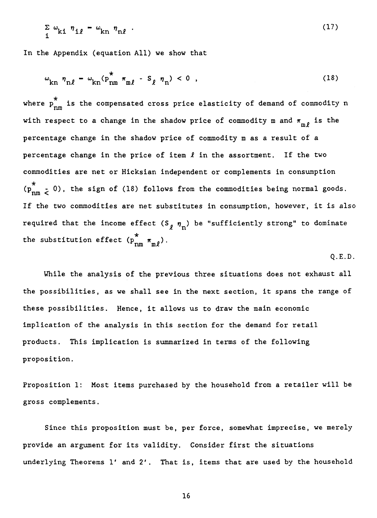$$
\sum_{i} \omega_{ki} \eta_{i\ell} - \omega_{kn} \eta_{n\ell} \tag{17}
$$

In the Appendix (equation Ail) we show that

$$
\omega_{kn} \eta_{n\ell} - \omega_{kn} (p_{nm}^* \pi_{m\ell} - S_\ell \eta_n) < 0 , \qquad (18)
$$

where  $\stackrel{\star}{\rm p}_{\rm nm}^{\rm x}$  is the compensated cross price elasticity of demand of commodity  ${\rm n}$ with respect to a change in the shadow price of commodity m and  $\pi_{\mathfrak{m}\,\rho}$  is the percentage change in the shadow price of commodity m as a result of a percentage change in the price of item  $\ell$  in the assortment. If the two commodities are net or Hicksian independent or complements in consumption  $(p_{nm}^*$  $_{\rm nm}$   $_{<}$  0), the sign of (18) follows from the commodities being normal goods. If the two commodities are net substitutes in consumption, however, it is also required that the income effect  $(S_{\rho} \eta_n)$  be "sufficiently strong" to dominate \* the substitution effect  $(p_{nm}^{m} \pi_{m\ell})$ .

$$
Q.E.D.
$$

While the analysis of the previous three situations does not exhaust ail the possibilities, as we shall see in the next section, it spans the range of these possibilities. Hence, it allows us to draw the main economic implication of the analysis in this section for the demand for retail products. This implication is summarized in terms of the following proposition.

Proposition 1: Most items purchased by the household from a retailer will be gross complements.

Since this proposition must be, per force, somewhat imprecise, we merely provide an argument for its validity. Consider first the situations underlying Theorems l' and 2'. That is, items that are used by the household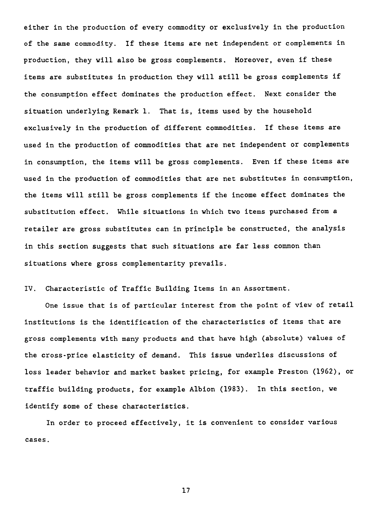either in the production of every commodity or exclusively in the production of the same commodity. If these items are net independent or complements in production, they will also be gross complements. Moreover, even if these items are substitutes in production they will still be gross complements if the consumption effect dominates the production effect. Next consider the situation underlying Remark 1. That is, items used by the household exclusively in the production of different commodities. If these items are used in the production of commodities that are net independent or complements in consumption, the items will be gross complements. Even if these items are used in the production of commodities that are net substitutes in consumption, the items will still be gross complements if the income effect dominates the substitution effect. While situations in which two items purchased from a retailer are gross substitutes can in principle be constructed, the analysis in this section suggests that such situations are far less common than situations where gross complementarity prevails.

IV. Characteristic of Traffic Building Items in an Assortment.

One issue that is of particular interest from the point of view of retail institutions is the identification of the characteristics of items that are gross complements with many products and that have high (absolute) values of the cross-price elasticity of demand. This issue underlies discussions of loss leader behavior and market basket pricing, for example Preston (1962), or traffic building products, for example Albion (1983). In this section, we identify some of these characteristics.

In order to proceed effectively, it is convenient to consider various cases.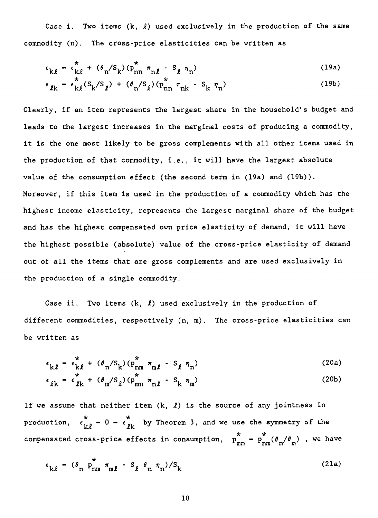Case i. Two items  $(k, \ell)$  used exclusively in the production of the same commodity (n). The cross-price elasticities can be written as

$$
\epsilon_{k\ell} = \epsilon_{k\ell}^* + (\theta_n / S_k) (\rho_{nn}^* \pi_{n\ell} - S_\ell \eta_n)
$$
 (19a)

$$
\epsilon_{\ell k} = \epsilon_{k\ell}^* (S_k/S_\ell) + (\theta_n/S_\ell) (p_{nn}^* \pi_{nk} - S_k \eta_n)
$$
 (19b)

Clearly, if an item represents the largest share in the household's budget and leads to the largest increases in the marginal costs of producing a commodity, it is the one most likely to be gross complements with all other items used in the production of that commodity, i.e., it will have the largest absolute value of the consumption effect (the second term in (19a) and (19b)). Moreover, if this item is used in the production of a commodity which has the highest income elasticity, represents the largest marginal share of the budget and has the highest compensated own price elasticity of demand, it will have the highest possible (absolute) value of the cross-price elasticity of demand out of ail the items that are gross complements and are used exclusively in the production of a single commodity.

Case ii. Two items  $(k, \ell)$  used exclusively in the production of different commodities, respectively (n, m). The cross-price elasticities can be written as

$$
\epsilon_{k\ell} - \epsilon_{k\ell}^* + (\theta_n / S_k) (\mathbf{p}_{nm}^* \pi_{m\ell} - S_\ell \eta_n)
$$
\n
$$
\epsilon_{\ell k} - \epsilon_{\ell k}^* + (\theta_m / S_\ell) (\mathbf{p}_{mn}^* \pi_{n\ell} - S_k \eta_m)
$$
\n(20a)

If we assume that neither item  $(k, \ell)$  is the source of any jointness in

production,  $\epsilon_{k\ell}$  **-** 0 <del>-</del>  $\epsilon_{\ell k}$  by Theorem 3, and we use the symmetry of the compensated cross-price effects in consumption,  $p_{mn}^{\dagger} = p_{nm}^{\dagger}(\theta_n/\theta_m)$  , we have

$$
\epsilon_{k\ell} - (\theta_n \ p_{nm}^* \pi_{m\ell} - S_\ell \theta_n \eta_n) / S_k
$$
 (21a)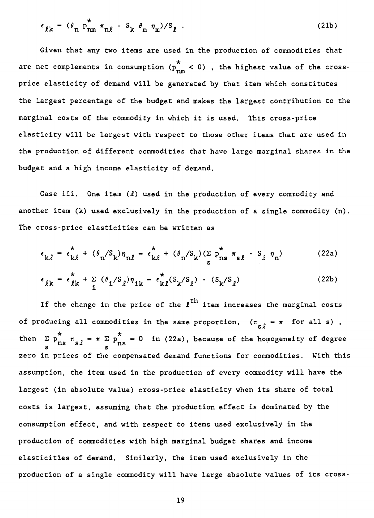$$
\epsilon_{\ell k} = (\theta_n \ p_{nm}^* \pi_{n\ell} - S_k \theta_m \eta_m) / S_{\ell} \tag{21b}
$$

Given that any two items are used in the production of commodities that are net complements in consumption  $(p_{nm}^{\circ} < 0)$  , the highest value of the crossprice elasticity of demand will be generated by that item which constitutes the largest percentage of the budget and makes the largest contribution to the marginal costs of the commodity in which it is used. This cross-price elasticity will be largest with respect to those other items that are used in the production of different commodities that have large marginal shares in the budget and a high income elasticity of demand.

Case iii. One item  $(l)$  used in the production of every commodity and another item (k) used exclusively in the production of a single commodity (n). The cross-price elasticities can be written as

$$
ross-price elasticities can be written as
$$
\n
$$
\epsilon_{k\ell} = \epsilon_{k\ell}^* + (\theta_n / S_k) \eta_{n\ell} - \epsilon_{k\ell}^* + (\theta_n / S_k) (\sum_s p_{ns}^* \pi_{s\ell} - S_\ell \eta_n)
$$
\n(22a)

$$
\epsilon_{\ell k} = \epsilon_{\ell k}^* + \sum_{i} (\theta_i / S_{\ell}) \eta_{ik} = \epsilon_{k\ell}^* (S_k / S_{\ell}) - (S_k / S_{\ell})
$$
 (22b)

If the change in the price of the  $t^{\text{th}}$  item increases the marginal costs of producing all commodities in the same proportion,  $(\pi_{\scriptstyle s\ell} - \pi$  for all s), then  $\Sigma$   $p_{ns}$   $\pi_s$ \*  $\ell$  =  $\pi$   $\Sigma$   $p_{\text{ns}}$  = 0 in (22a), because of the homogeneity of degree  $\sum_{s}^{*} p_{ns}^{*} \pi_{s}$ zero in prices of the compensated demand functions for commodities. With this assumption, the item used in the production of every commodity will have the largest (in absolute value) cross-price elasticity when its share of total costs is largest, assuming that the production effect is dominated by the consumption effect, and with respect to items used exclusively in the production of commodities with high marginal budget shares and income elasticities of demand. Similarly, the item used exclusively in the production of a single commodity will have large absolute values of its cross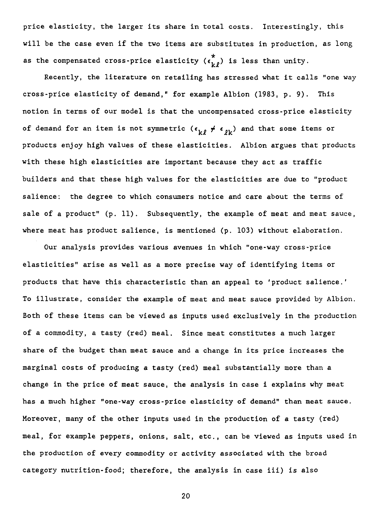price elasticity, the larger its share in total costs. Interestingly, this will be the case even if the two items are substitutes in production, as long as the compensated cross-price elasticity  $(\epsilon_{k,\ell}^{\star})$  is less than unity.

Recently, the literature on retailing has stressed what it calis "one way cross-price elasticity of demand," for example Albion (1983, p. 9). This notion in terms of our model is that the uncompensated cross-price elasticity of demand for an item is not symmetric  $(\epsilon_{k\ell} \neq \epsilon_{\ell k})$  and that some items or products enjoy high values of these elasticities. Albion argues that products with these high elasticities are important because they act as traffic builders and that these high values for the elasticities are due to "product salience: the degree to which consumers notice and care about the terms of sale of a product" (p. 11). Subsequently, the example of meat and meat sauce, where meat has product salience, is mentioned (p. 103) without elaboration.

Our analysis provides various avenues in which "one-way cross-price elasticities" arise as well as a more precise way of identifying items or products that have this characteristic than an appeal to 'product salience.' To illustrate, consider the example of meat and meat sauce provided by Albion. Both of these items can be viewed as inputs used exclusively in the production of a commodity, a tasty (red) meal. Since meat constitutes a much larger share of the budget than meat sauce and a change in its price increases the marginal costs of producing a tasty (red) meal substantially more than a change in the price of meat sauce, the analysis in case i explains why meat has a much higher "one-way cross-price elasticity of demand" than meat sauce. Moreover, many of the other inputs used in the production of **a** tasty (red) meal, for example peppers, onions, salt, etc., can be viewed as inputs used in the production of every commodity or activity associated with the broad category nutrition-food; therefore, the analysis in case iii) is also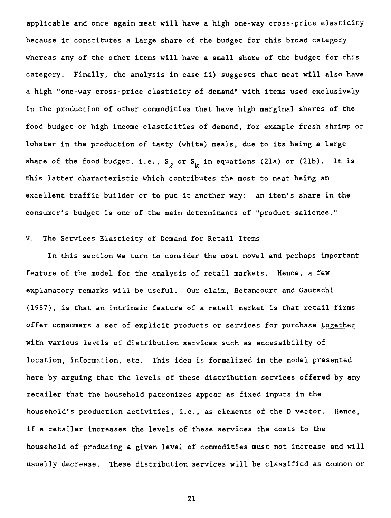applicable and once again meat will have a high one-way cross-price elasticity because it constitutes a large share of the budget for this broad category whereas any of the other items will have a small share of the budget for this category. Finally, the analysis in case ii) suggests that meat will also have a high "one-way cross-price elasticity of demand" with items used exclusively in the production of other commodities that have high marginal shares of the food budget or high income elasticities of demand, for example fresh shrimp or lobster in the production of tasty (white) meals, due to its being a large share of the food budget, i.e.,  $S_{\rho}$  or  $S_{\nu}$  in equations (21a) or (21b). It is this latter characteristic which contributes the most to meat being an excellent traffic builder or to put it another way: an item's share in the consumer's budget is one of the main determinants of "product salience."

#### V. The Services Elasticity of Demand for Retail Items

In this section we turn to consider the most novel and perhaps important feature of the model for the analysis of retail markets. Hence, a few explanatory remarks will be useful. Our daim, Betancourt and Gautschi (1987), is that an intrinsic feature of a retail market is that retail firms offer consumers a set of explicit products or services for purchase together with various levels of distribution services such as accessibility of location, information, etc. This idea is formalized in the model presented here by arguing that the levels of these distribution services offered by any retailer that the household patronizes appear as fixed inputs in the household's production activities, i.e., as elements of the D vector. Hence, if a retailer increases the levels of these services the costs to the household of producing a given level of commodities must not increase and will usually decrease. These distribution services will be classified as common or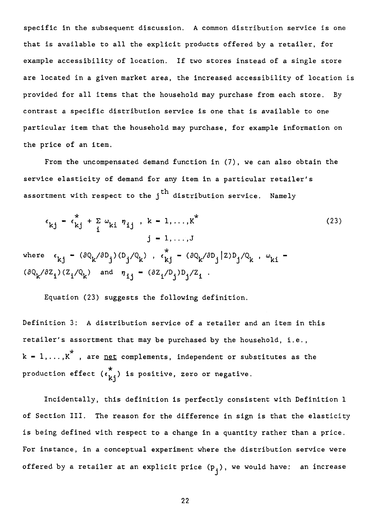specific in the subsequent discussion. A common distribution service is one that is available to ail the explicit products offered by a retailer, for example accessibility of location. If two stores instead of a single store are located in a given market area, the increased accessibility of location is provided for ail items that the household may purchase from each store. By contrast a specific distribution service is one that is available to one particular item that the household may purchase, for example information on the price of an item.

From the uncompensated demand function in (7), we can also obtain the service elasticity of demand for any item in a particular retailer's assortment with respect to the  $i<sup>th</sup>$  distribution service. Namely

$$
\epsilon_{kj} = \epsilon_{kj}^* + \sum_{i} \omega_{ki} \eta_{ij}, k = 1, ..., K^*
$$
\n
$$
j = 1, ..., J
$$
\nwhere\n
$$
\epsilon_{kj} = (\partial Q_k / \partial D_j) (D_j / Q_k), \epsilon_{kj}^* = (\partial Q_k / \partial D_j / Q_k, \omega_{ki} = (\partial Q_k / \partial Z_i) (Z_i / Q_k) \text{ and } \eta_{ij} = (\partial Z_i / D_j) D_j / Z_i.
$$
\n(23)

Equation (23) suggests the following definition.

Definition 3: A distribution service of a retailer and an item in this retailer's assortment that may be purchased by the household, i.e.,  $k = 1, \ldots, K^*$  , are <u>net</u> complements, independent or substitutes as the production effect  $(\epsilon_{\hat{k}i}^*)$  is positive, zero or negative.

Incidentally, this definition is perfectly consistent with Definition 1 of Section III. The reason for the difference in sign is that the elasticity is being defined with respect to a change in a quantity rather than a price. For instance, in a conceptual experiment where the distribution service were offered by a retailer at an explicit price  $(p_i)$ , we would have: an increase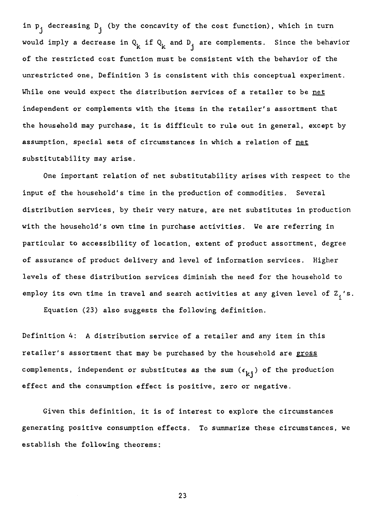in  $p_i$  decreasing  $D_i$  (by the concavity of the cost function), which in turn would imply a decrease in  $Q_k$  if  $Q_k$  and  $D_i$  are complements. Since the behavior of the restricted cost function must be consistent with the behavior of the unrestricted one, Definition 3 is consistent with this conceptual experiment. While one would expect the distribution services of a retailer to be net independent or complements with the items in the retailer's assortment that the household may purchase, it is difficult to rule out in general, except by assumption, special sets of circumstances in which a relation of net substitutability may arise.

One important relation of net substitutability arises with respect to the input of the household's time in the production of commodities. Several distribution services, by their very nature, are net substitutes in production with the household's own time in purchase activities. We are referring in particular to accessibility of location, extent of product assortment, degree of assurance of product delivery and level of information services. Higher levels of these distribution services diminish the need for the household to employ its own time in travel and search activities at any given level of  $Z_i$ 's.

Equation (23) also suggests the following definition.

Definition 4: A distribution service of a retailer and any item in this retailer's assortment that may be purchased by the household are gross complements, independent or substitutes as the sum  $(\epsilon_{k,i})$  of the production effect and the consumption effect is positive, zero or negative.

Given this definition, it is of interest to explore the circumstances generating positive consumption effects. To summarize these circumstances, we establish the following theorems: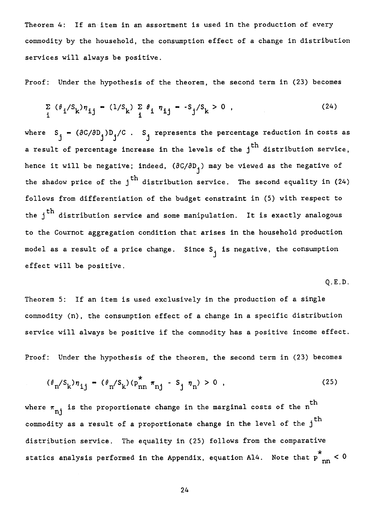Theorem 4: If an item in an assortment is used in the production of every commodity by the household, the consumption effect of a change in distribution services will always be positive.

Proof: Under the hypothesis of the theorem, the second term in (23) becomes

$$
\sum_{i} (\theta_{i}/S_{k}) \eta_{ij} - (1/S_{k}) \sum_{i} \theta_{i} \eta_{ij} - S_{j}/S_{k} > 0
$$
 (24)

where  $S_i = (\partial C/\partial D_i)D_i/C$ .  $S_i$  represents the percentage reduction in costs as a result of percentage increase in the levels of the  $j^{\text{th}}$  distribution service, hence it will be negative; indeed,  $(\partial C/\partial D_{\frac{1}{2}})$  may be viewed as the negative of the shadow price of the  $j<sup>th</sup>$  distribution service. The second equality in (24) follows from differentiation of the budget constraint in (5) with respect to the  $j<sup>th</sup>$  distribution service and some manipulation. It is exactly analogous to the Cournot aggregation condition that arises in the household production model as a result of a price change. Since  $S_i$  is negative, the consumption effect will be positive.

Q.E.D.

Theorem 5: If an item is used exclusively in the production of a single commodity (n), the consumption effect of a change in a specific distribution service will always be positive if the commodity has a positive income effect.

Proof: Under the hypothesis of the theorem, the second term in (23) becomes

$$
(\theta_{n}/S_{k})\eta_{ij} - (\theta_{n}/S_{k})(p_{nn}^{*} \pi_{nj} - S_{j} \eta_{n}) > 0
$$
 (25)

where  $\pi_{nj}$  is the proportionate change in the marginal costs of the n<sup>th</sup> commodity as a result of a proportionate change in the level of the  $j^{\,\rm th}$ distribution service. The equality in (25) follows from the comparative \*<br>, statics analysis performed in the Appendix, equation Al4. Note that p nn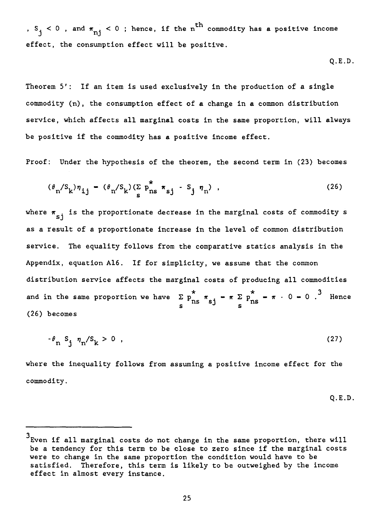,  $S_i < 0$  , and  $\pi_{ni} < 0$  ; hence, if the n<sup>th</sup> commodity has a positive income effect, the consumption effect will be positive.

$$
Q.E.D.
$$

Theorem 5': If an item is used exclusively in the production of a single commodity (n), the consumption effect of a change in a common distribution service, which affects all marginal costs in the same proportion, will always be positive if the commodity has a positive income effect.

Proof: Under the hypothesis of the theorem, the second term in (23) becomes

$$
(\theta_n / S_k) \eta_{ij} - (\theta_n / S_k) (\sum_{s} p_{ns}^* \pi_{sj} - S_j \eta_n) , \qquad (26)
$$

where  $\pi_{s,i}$  is the proportionate decrease in the marginal costs of commodity s as a resuit of a proportionate increase in the level of common distribution service. The equality follows from the comparative statics analysis in the Appendix, equation A16. If for simplicity, we assume that the common distribution service affects the marginal costs of producing ail commodities and in the same proportion we have  $\sum_{s} p \hat{r}_{ns} = \pi \sum_{s} p$  $\frac{x}{20} = \pi \cdot 0 = 0$ . Hence  $\frac{2}{s}$   $\frac{p_{\text{ns}} \pi_{\text{sj}} - \pi}{s}$   $\frac{p_{\text{ns}}}{s}$ (26) becomes

$$
-\theta_{\rm n} S_{\rm j} \eta_{\rm n}/S_{\rm k} > 0 \tag{27}
$$

where the inequality follows from assuming a positive income effect for the commodity.

$$
Q.E.D.
$$

<sup>3</sup> Even if all marginal costs do not change in the same proportion, there will be a tendency for this term to be close to zero since if the marginal costs were to change in the same proportion the condition would have to be satisfied. Therefore, this term is likely to be outweighed by the income effect in almost every instance.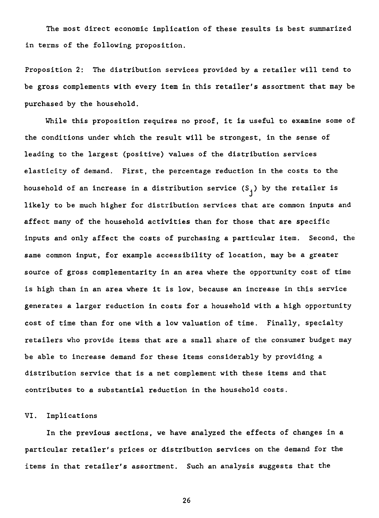The most direct economic implication of these results is best summarized in terras of the following proposition.

Proposition 2: The distribution services provided by a retailer will tend to be gross complements with every item in this retailer's assortment that may be purchased by the household.

While this proposition requires no proof, it is useful to examine some of the conditions under which the result will be strongest, in the sense of leading to the largest (positive) values of the distribution services elasticity of demand. First, the percentage reduction in the costs to the household of an increase in a distribution service  $(S_i)$  by the retailer is likely to be much higher for distribution services that are common inputs and affect many of the household activities than for those that are specific inputs and only affect the costs of purchasing a particular item. Second, the same common input, for example accessibility of location, may be a greater source of gross complementarity in an area where the opportunity cost of time is high than in an area where it is low, because an increase in this service generates a larger reduction in costs for a household with a high opportunity cost of time than for one with a low valuation of time. Finally, specialty retailers who provide items that are a small share of the consumer budget may be able to increase demand for these items considerably by providing a distribution service that is a net complement with these items and that contributes to a substantiel reduction in the household costs.

#### VI. Implications

In the previous sections, we have analyzed the effects of changes in a particular retailer's prices or distribution services on the demand for the items in that retailer's assortment. Such an analysis suggests that the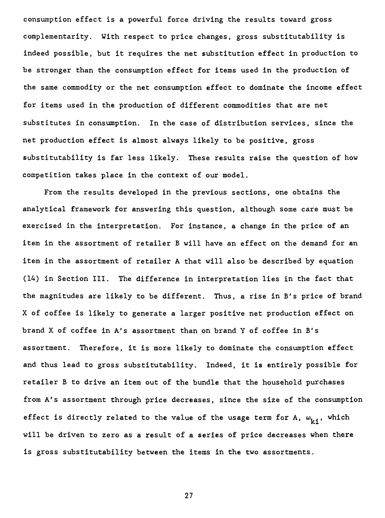consumption effect is a powerful force driving the results toward gross complementarity. With respect to price changes, gross substitutability is indeed possible, but it requires the net substitution effect in production to be stronger than the consumption effect for items used in the production of the same commodity or the net consumption effect to dominate the income effect for items used in the production of different commodities that are net substitutes in consumption. In the case of distribution services, since the net production effect is almost always likely to be positive, gross substitutability is far less likely. These results taise the question of how competition takes place in the context of our model.

From the results developed in the previous sections, one obtains the analytical framework for answering this question, although some care must be exercised in the interpretation. For instance, a change in the price of an item in the assortment of retailer B will have an effect on the demand for an item in the assortment of retailer A that will also be described by equation (14) in Section III. The difference in interpretation lies in the fact that the magnitudes are likely to be different. Thus, a rise in B's price of brand X of coffee is likely to generate a larger positive net production effect on brand X of coffee in A's assortment than on brand Y of coffee in B's assortment. Therefore, it is more likely to dominate the consumption effect and thus lead to gross substitutability. Indeed, it is entirely possible for retailer B to drive an item out of the bundle that the household purchases from A's assortment through price decreases, since the size of the consumption effect is directly related to the value of the usage term for A,  $\omega_{k,j}$ , which will be driven to zero as a result of a series of price decreases when there is gross substitutability between the items in the two assortments.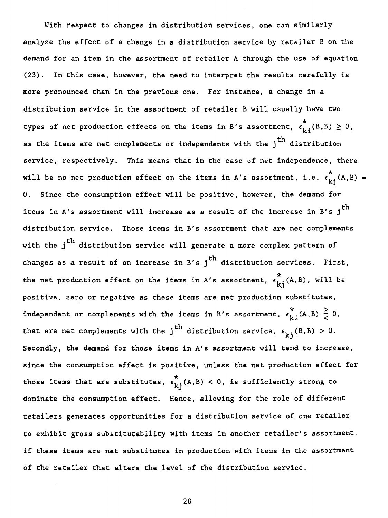With respect to changes in distribution services, one can similarly analyze the effect of a change in a distribution service by retailer B on the demand for an item in the assortment of retailer A through the use of equation (23). In this case, however, the need to interpret the results carefully is more pronounced than in the previous one. For instance, **a** change in a distribution service in the assortment of retailer B will usually have two types of net production effects on the items in B's assortment,  $\epsilon_{i,j}^*(B,B) \geq 0$ , as the items are net complements or independents with the  $j<sup>th</sup>$  distribution service, respectively. This means that in the case of net independence, there will be no net production effect on the items in A's assortment, i.e.  $\epsilon_{ki}^*(A,B)$  = O. Since the consumption effect will be positive, however, the demand for items in A's assortment will increase as a result of the increase in B's  $j^{\text{th}}$ distribution service. Those items in B's assortment that are net complements with the  $j<sup>th</sup>$  distribution service will generate a more complex pattern of changes as a result of an increase in B's  $j^{th}$  distribution services. First, the net production effect on the items in A's assortment,  $\epsilon_{k,i}^{\star}(A,B)$ , will be positive, zero or negative as these items are net production substitutes, independent or complements with the items in B's assortment,  $\epsilon_{i,0}^*(A,B) \geq 0$ , that are net complements with the j<sup>th</sup> distribution service,  $\epsilon_{\vec{k}i}$ (B,B) > 0. Secondly, the demand for those items in A's assortment will tend to increase, since the consumption effect is positive, unless the net production effect for those items that are substitutes,  $\epsilon_{k,j}^*(A,B) < 0$ , is sufficiently strong to dominate the consumption effect. Hence, allowing for the role of different retailers generates opportunities for a distribution service of one retailer to exhibit gross substitutability with items in another retailer's assortment, if these items are net substitutes in production with items in the assortment of the retailer that alters the level of the distribution service.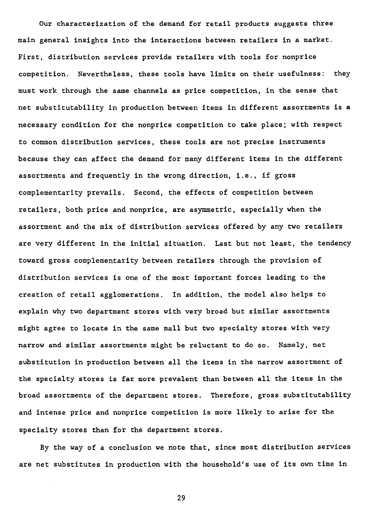Our characterization of the demand for retail products suggests three main general insights into the interactions between retailers in a market. First, distribution services provide retailers with tools for nonprice competition. Nevertheless, these tools have limits on their usefulness: they must work through the same channels as price competition, in the sense that net substitutability in production between items in different assortments is **a**  necessary condition for the nonprice competition to take place; with respect to common distribution services, these tools are not precise instruments because they can affect the demand for many different items in the different assortments and frequently in the wrong direction, i.e., if gross complementarity prevails. Second, the effects of competition between retailers, both price and nonprice, are asymmetric, especially when the assortment and the mix of distribution services offered by any two retailers are very different in the initial situation. Last but not least, the tendency toward gross complementarity between retailers through the provision of distribution services is one of the most important forces leading to the creation of retail agglomerations. In addition, the model also helps to explain why two department stores with very broad but similar assortments might agree to locate in the same mall but two specialty stores with very narrow and similar assortments might be reluctant to do so. Namely, net substitution in production between ail the items in the narrow assortment of the specialty stores is far more prevalent than between ail the items in the broad assortments of the department stores. Therefore, gross substitutability and intense price and nonprice competition is more likely to arise for the specialty stores than for the department stores.

By the way of a conclusion we note that, since most distribution services are net substitutes in production with the household's use of its own time in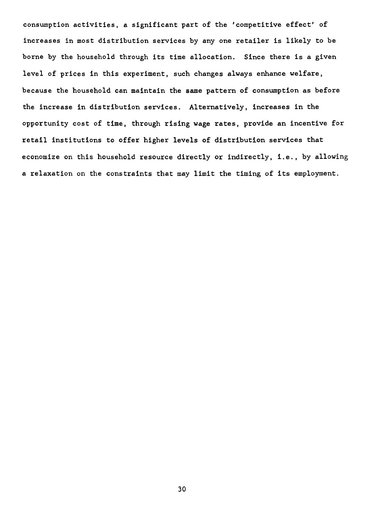consumption activities, a significant part of the 'competitive effect' of increases in most distribution services by any one retailer is likely to be borne by the household through its time allocation. Since there is a given level of prices in this experiment, such changes always enhance welfare, because the household can maintain the same pattern of consumption as before the increase in distribution services. Alternatively, increases in the opportunity cost of time, through rising wage rates, provide an incentive for retail institutions to offer higher levels of distribution services that economize on this household resource directly or indirectly, i.e., by allowing a relaxation on the constraints that may limit the timing of its employment.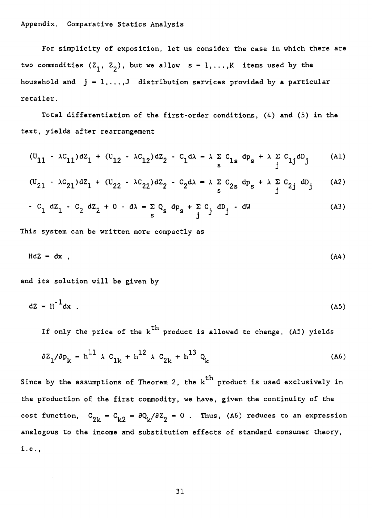## Appendix. Comparative Statics Analysis

For simplicity of exposition, let us consider the case in which there are two commodities  $(Z_1, Z_2)$ , but we allow  $s = 1, ..., K$  items used by the household and  $j = 1, ..., J$  distribution services provided by a particular retailer.

Total differentiation of the first-order conditions, (4) and (5) in the text, yields after rearrangement

$$
(u_{11} - \lambda c_{11})dZ_1 + (u_{12} - \lambda c_{12})dZ_2 - c_1d\lambda - \lambda \sum_{s} c_{1s} dp_s + \lambda \sum_{j} c_{1j}dD_j
$$
 (A1)

$$
(\mathbf{U}_{21} - \lambda c_{21})d\mathbf{Z}_1 + (\mathbf{U}_{22} - \lambda c_{22})d\mathbf{Z}_2 - c_2d\lambda - \lambda \sum_{\mathbf{s}} c_{2\mathbf{s}} d\mathbf{P}_{\mathbf{s}} + \lambda \sum_{\mathbf{j}} c_{2\mathbf{j}} d\mathbf{D}_{\mathbf{j}}
$$
 (A2)

$$
- C_1 dZ_1 - C_2 dZ_2 + 0 dX - \sum_{s} Q_s dP_s + \sum_{j} C_j dD_j - dW
$$
 (A3)

This system can be written more compactly as

$$
HdZ = dx , \t\t(A4)
$$

and its solution will be given by

$$
dz = H^{-1}dx
$$
 (A5)

If only the price of the  $k^{th}$  product is allowed to change, (A5) yields

$$
\partial Z_1 / \partial p_k = h^{11} \lambda C_{1k} + h^{12} \lambda C_{2k} + h^{13} Q_k
$$
 (A6)

Since by the assumptions of Theorem 2, the  $k^{th}$  product is used exclusively in the production of the first commodity, we have, given the continuity of the cost function,  $C_{2k} - C_{k2} - \partial Q_k / \partial Z_2 - 0$ . Thus, (A6) reduces to an expression analogous to the income and substitution effects of standard consumer theory, i.e.,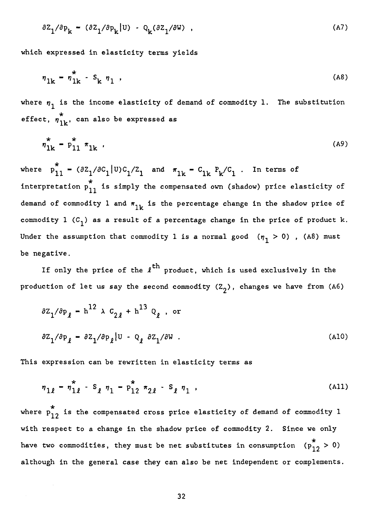$$
\partial Z_1 / \partial p_k - (\partial Z_1 / \partial p_k |U) - Q_k (\partial Z_1 / \partial W) , \qquad (A7)
$$

which expressed in elasticity terms yields

$$
\eta_{1k} - \eta_{1k}^* - S_k \eta_1 \tag{A8}
$$

where  $n_1$  is the income elasticity of demand of commodity 1. The substitution effect,  $n_{1k}^*$ , can also be expressed as

$$
\eta_{1k}^* - p_{11}^* \tau_{1k} \t\t(49)
$$

where  $p_{11}^* - (\partial z_1/\partial c_1|U) c_1/z_1$  and  $\pi_{1k} - c_{1k} P_k/c_1$ . In terms of interpretation  $p_{11}^*$  is simply the compensated own (shadow) price elasticity of demand of commodity 1 and  $\pi_{1k}$  is the percentage change in the shadow price of commodity 1  $(C_1)$  as a result of a percentage change in the price of product k. Under the assumption that commodity 1 is a normal good  $(\eta_1 > 0)$  , (A8) must be negative.

If only the price of the  $\ell^{\text{th}}$  product, which is used exclusively in the production of let us say the second commodity  $(Z_2)$ , changes we have from (A6)

$$
\partial Z_1 / \partial p_{\ell} - h^{12} \times c_{2\ell} + h^{13} Q_{\ell} , \text{ or}
$$
  

$$
\partial Z_1 / \partial p_{\ell} - \partial Z_1 / \partial p_{\ell} |U - Q_{\ell} \partial Z_1 / \partial W .
$$
 (A10)

This expression can be rewritten in elasticity terms as

$$
\eta_{1\ell} - \eta_{1\ell}^* - S_{\ell} \eta_1 - P_{12}^* \eta_{2\ell} - S_{\ell} \eta_1 , \qquad (A11)
$$

where  $p_{12}^*$  is the compensated cross price elasticity of demand of commodity 1 with respect to a change in the shadow price of commodity 2. Since we only have two commodities, they must be net substitutes in consumption  $(p_{12}^* > 0)$ although in the general case they can also be net independent or complements.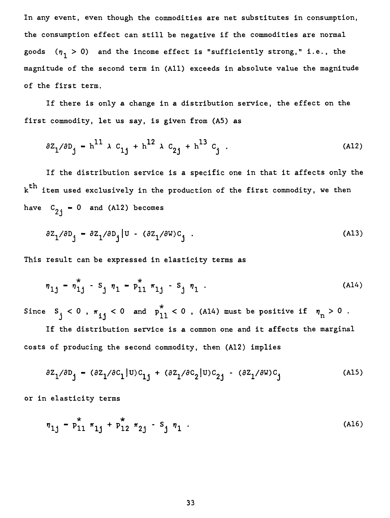In any event, even though the commodities are net substitutes in consumption, the consumption effect can still be negative if the commodities are normal goods  $(\eta_1 > 0)$  and the income effect is "sufficiently strong," i.e., the magnitude of the second terni in (A11) exceeds in absolute value the magnitude of the first term.

If there is only **a change in a distribution service, the effect on the first commodity, let us say, is given from (A5) as** 

$$
\partial Z_1 / \partial D_j - h^{11} \lambda C_{1j} + h^{12} \lambda C_{2j} + h^{13} C_j . \tag{A12}
$$

If the distribution service is a specific one in that it affects only the  $\texttt{k}^{\texttt{th}}$  item used exclusively in the production of the first commodity, we then have  $C_{2i} = 0$  and (A12) becomes

$$
\partial Z_1 / \partial D_j = \partial Z_1 / \partial D_j |U - (\partial Z_1 / \partial W)C_j . \qquad (A13)
$$

This result can be expressed in elasticity terms as

$$
\eta_{1j} - \eta_{1j}^* - S_j \eta_1 - P_{11}^* \eta_1 - S_j \eta_1 \tag{A14}
$$

Since  $S_j < 0$  ,  $\pi_{ij} < 0$  and  $p_{11}^2 < 0$  , (A14) must be positive if  $\eta_n > 0$  .

If the distribution service is a common one and it affects the marginal costs of producing the second commodity, then (Al2) implies

$$
\partial Z_1/\partial D_j - (\partial Z_1/\partial C_1|U)C_{1j} + (\partial Z_1/\partial C_2|U)C_{2j} - (\partial Z_1/\partial W)C_j
$$
 (A15)

or in elasticity terms

$$
\eta_{1j} - p_{11}^* \tau_{1j} + p_{12}^* \tau_{2j} - s_j \eta_1 . \tag{A16}
$$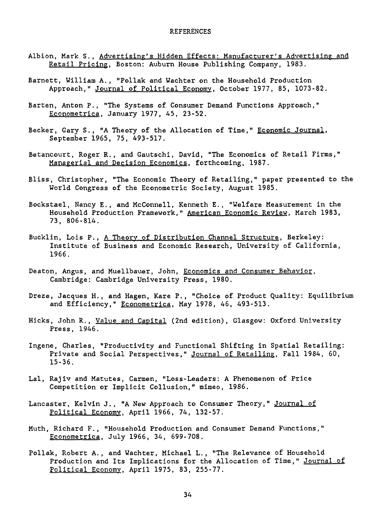#### REFERENCES

- Albion, Mark S., Advertising's Hidden Effects: Manufacturer's Advertising and Retail Pricing, Boston: Auburn House Publishing Company, 1983.
- Barnett, William A., "Pollak and Wachter on the Household Production Approach," Journal of Political Economy, October 1977, 85, 1073-82.
- Barten, Anton P., "The Systems of Consumer Demand Functions Approach," Econometrica, January 1977, 45, 23-52.
- Becker, Gary S., "A Theory of the Allocation of Time," Economic Journal, September 1965, 75, 493-517.
- Betancourt, Roger R., and Gautschi, David, "The Economics of Retail Firms," Managerial and Decision Economics, forthcoming, 1987.
- Bliss, Christopher, "The Economic Theory of Retailing," paper presented to the World Congress of the Econometric Society, August 1985.
- Bockstael, Nancy E., and McConnell, Kenneth E., "Welfare Measurement in the Household Production Framework," American Economic Review, March 1983, 73, 806-814.
- Bucklin, Lois P., A Theory of Distribution Channel Structure, Berkeley: Institute of Business and Economic Research, University of California, 1966.
- Deaton, Angus, and Muellbauer, John, Economics and Consumer Behavior, Cambridge: Cambridge University Press, 1980.
- Dreze, Jacques H., and Hagen, Kare P., "Choice of Product Quality: Equilibrium and Efficiency," Econometrica, May 1978, 46, 493-513.
- Hicks, John R., Value and Capital (2nd edition), Glasgow: Oxford University Press, 1946.
- Ingene, Charles, "Productivity and Functional Shifting in Spatial Retailing: Private and Social Perspectives," Journal of Retailing, Fall 1984, 60, 15-36.
- Lal, Rajiv and Matutes, Carmen, "Loss-Leaders: A Phenomenon of Price Competition or Implicit Collusion," mimeo, 1986.
- Lancaster, Kelvin J., "A New Approach to Consumer Theory," Journal of Political Economy, April 1966, 74, 132-57.
- Muth, Richard F., "Household Production and Consumer Demand Functions," Econometrica, July 1966, 34, 699-708.
- Pollak, Robert A., and Wachter, Michael L., "The Relevance of Household Production and Its Implications for the Allocation of Time," Journal of Political Economy, April 1975, 83, 255-77.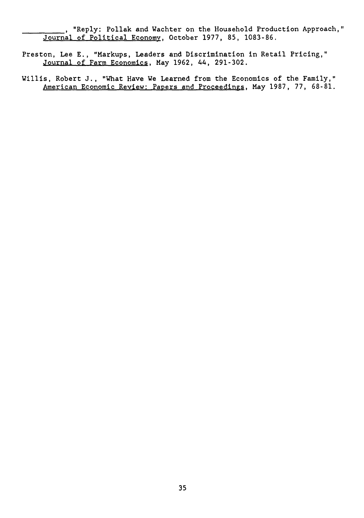, "Reply: Pollak and Wachter on the Household Production Approach," Journal of Political Economy, October 1977, 85, 1083-86.

- Preston, Lee E., "Markups, Leaders and Discrimination in Retail Pricing," Journal of Farm Economics, May 1962, 44, 291-302.
- Willis, Robert J., "What Have We Learned from the Economics of the Family," American Economic Review: Papers and Proceedings, May 1987, 77, 68-81.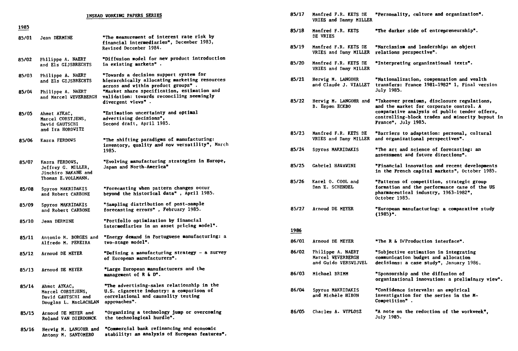| INSEAD WORKING PAPERS SERIES |                                                                                   |                                                                                                                                               |  |  |  |
|------------------------------|-----------------------------------------------------------------------------------|-----------------------------------------------------------------------------------------------------------------------------------------------|--|--|--|
| 1985                         |                                                                                   |                                                                                                                                               |  |  |  |
| 85/01                        | Jean DERMINE                                                                      | "The measurement of interest rate risk by<br>financial intermediaries", December 1983,<br>Revised December 1984.                              |  |  |  |
| 85/02                        | Philippe A. NAERT<br>and Els GIJSBRECHTS                                          | "Diffusion model for new product introduction<br>in existing markets".                                                                        |  |  |  |
| 85/03                        | Philippe A. NAERT<br>and Els GIJSBRECHTS                                          | "Towards a decision support system for<br>hierarchically allocating marketing resources<br>across and within product groups".                 |  |  |  |
| 85/04                        | Philippe A. NAERT<br>and Marcel WEVERBERGH                                        | "Market share specification, estimation and<br>validation: towards reconciling seemingly<br>divergent views".                                 |  |  |  |
| 85/05                        | Ahmet AYKAC,<br>Marcel CORSTJENS,<br>David GAUTSCHI<br>and Ira HOROVITZ           | "Estimation uncertainty and optimal<br>advertising decisions",<br>Second draft, April 1985.                                                   |  |  |  |
| 85/06                        | Kasra FERDOWS                                                                     | "The shifting paradigms of manufacturing:<br>inventory, quality and now versatility", March<br>1985.                                          |  |  |  |
| 85/07                        | Kasra FERDOWS,<br>Jeffrey G. MILLER,<br>Jinchiro NAKANE and<br>Thomas E.VOLLMANN. | "Evolving manufacturing strategies in Europe,<br>Japan and North-America"                                                                     |  |  |  |
| 85/08                        | Spyros MAKRIDAKIS<br>and Robert CARBONE                                           | "Forecasting when pattern changes occur<br>beyond the historical data", April 1985.                                                           |  |  |  |
| 85/09                        | Spyros MAKRIDAKIS<br>and Robert CARBONE                                           | "Sampling distribution of post-sample<br>forecasting errors", Pebruary 1985.                                                                  |  |  |  |
| 85/10                        | Jean DERMINE                                                                      | "Portfolio optimization by financial<br>intermediaries in an asset pricing model".                                                            |  |  |  |
| 85/11                        | Antonio M. BORGES and<br>Alfredo M. PEREIRA                                       | "Energy demand in Portuguese manufacturing: a<br>tvo-stage model".                                                                            |  |  |  |
| 85/12                        | Arnoud DE MEYER                                                                   | "Defining a manufacturing strategy - a survey<br>of European manufacturers".                                                                  |  |  |  |
| 85/13                        | Arnoud DE MEYER                                                                   | "Large European manufacturers and the<br>management of R & D".                                                                                |  |  |  |
| 85/14                        | Ahmet AYKAC,<br>Marcel CORSTJENS,<br>David GAUTSCHI and<br>Douglas L. MacLACHLAN  | "The advertising-sales relationship in the<br>U.S. cigarette industry: a comparison of<br>correlational and causality testing<br>approaches". |  |  |  |
| 85/15                        | Arnoud DE MEYER and<br>Roland VAN DIERDONCK                                       | "Organizing a technology jump or overcoming<br>the technological hurdle".                                                                     |  |  |  |
| 85/16                        | Hervig M. LANGOHR and                                                             | "Commercial bank refinancing and economic                                                                                                     |  |  |  |

**Antony M. SANTOMERO stability: an analysis of European features".** 

|             | <b>INSEAD VORKING PAPERS SERIES</b>                                                                                                                                          | 85/17 | Manfred P.R. KETS DE<br>VRIES and Danny MILLER                 | "Personality, culture and organization".                                                                                                                                                   |
|-------------|------------------------------------------------------------------------------------------------------------------------------------------------------------------------------|-------|----------------------------------------------------------------|--------------------------------------------------------------------------------------------------------------------------------------------------------------------------------------------|
|             | "The measurement of interest rate risk by                                                                                                                                    | 85/18 | Manfred F.R. KETS<br>DE VRIES                                  | "The darker side of entrepreneurship".                                                                                                                                                     |
|             | financial intermediaries", December 1983,<br>Revised December 1984.                                                                                                          | 85/19 | Manfred F.R. KETS DE<br>VRIES and Dany MILLER                  | "Narcissism and leadership: an object<br>relations perspective".                                                                                                                           |
| TS          | "Diffusion model for new product introduction<br>in existing markets".                                                                                                       | 85/20 | Manfred F.R. KETS DE<br>VRIES and Dany MILLER                  | "Interpreting organizational texts".                                                                                                                                                       |
| TS<br>ERCH  | "Towards a decision support system for<br>hierarchically allocating marketing resources<br>across and within product groups".<br>"Market share specification, estimation and | 85/21 | Herwig M. LANGOHR<br>and Claude J. VIALLET                     | "Nationalization, compensation and wealth<br>transfers: France 1981-1982" 1, Final version<br>July 1985.                                                                                   |
|             | validation: towards reconciling seemingly<br>divergent views".<br>"Estimation uncertainty and optimal<br>advertising decisions",                                             | 85/22 | Herwig M. LANGOHR and<br>B. Espen ECKBO                        | "Takeover premiums, disclosure regulations,<br>and the market for corporate control. A<br>comparative analysis of public tender offers,<br>controlling-block trades and minority buyout in |
|             | Second draft, April 1985.                                                                                                                                                    |       |                                                                | France", July 1985.                                                                                                                                                                        |
|             | "The shifting paradigms of manufacturing:                                                                                                                                    | 85/23 | Manfred F.R. KETS DE<br>VRIES and Dany MILLER                  | "Barriers to adaptation: personal, cultural<br>and organizational perspectives".                                                                                                           |
|             | inventory, quality and now versatility", March<br>1985.                                                                                                                      | 85/24 | Spyros MAKRIDAKIS                                              | "The art and science of forecasting: an<br>assessment and future directions".                                                                                                              |
| ınd         | "Evolving manufacturing strategies in Europe,<br>Japan and North-America"                                                                                                    | 85/25 | Gabriel HAWAWINI                                               | "Financial innovation and recent developments<br>in the French capital markets", October 1985.                                                                                             |
| ı.,<br>ΙE   | "Forecasting when pattern changes occur<br>beyond the historical data", April 1985.                                                                                          | 85/26 | Karel 0. COOL and<br>Dan E. SCHENDEL                           | "Patterns of competition, strategic group<br>formation and the performance case of the US<br>pharmaceutical industry, 1963-1982",<br>October 1985.                                         |
| IE.         | "Sampling distribution of post-sample<br>forecasting errors", Pebruary 1985.                                                                                                 | 85/27 | Arnoud DE MEYER                                                | "European manufacturing: a comparative study<br>$(1985)^n$ .                                                                                                                               |
|             | "Portfolio optimization by financial<br>intermediaries in an asset pricing model".                                                                                           | 1986  |                                                                |                                                                                                                                                                                            |
| 5 and<br>W  | "Energy demand in Portuguese manufacturing: a<br>tvo-stage model".                                                                                                           | 86/01 | Arnoud DE MEYER                                                | "The R & D/Production interface".                                                                                                                                                          |
|             | "Defining a manufacturing strategy - a survey<br>of European manufacturers".                                                                                                 | 86/02 | Philippe A. NAERT<br>Marcel WEVERBERGH<br>and Guido VERSWIJVEL | "Subjective estimation in integrating<br>communication budget and allocation<br>decisions: a case study", January 1986.                                                                    |
|             | "Large European manufacturers and the<br>management of R & D".                                                                                                               | 86/03 | Michael BRIMM                                                  | "Sponsorship and the diffusion of<br>organizational innovation: a preliminary view".                                                                                                       |
| nd<br>CHLAN | "The advertising-sales relationship in the<br>U.S. cigarette industry: a comparison of<br>correlational and causality testing<br>approaches".                                | 86/04 | Spyros MAKRIDAKIS<br>and Michèle HIBON                         | "Confidence intervals: an empirical<br>investigation for the series in the M-<br>Competition".                                                                                             |
| and<br>onck | "Organizing a technology jump or overcoming<br>the technological hurdle".                                                                                                    | 86/05 | Charles A. WYPLOSZ                                             | "A note on the reduction of the workweek",<br>July 1985.                                                                                                                                   |
|             |                                                                                                                                                                              |       |                                                                |                                                                                                                                                                                            |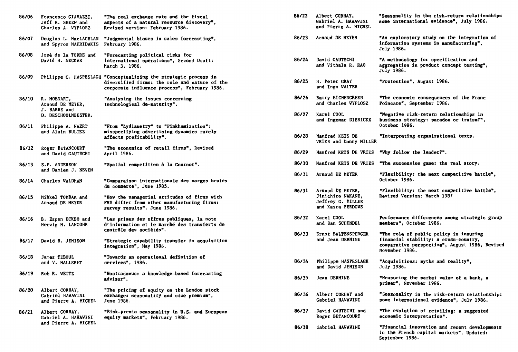| 86/06 | Francesco GIAVAZZI,<br>Jeff R. SHEEN and<br>Charles A. WYPLOSZ | "The real exchange rate and the fiscal<br>aspects of a natural resource discovery",<br>Revised version: February 1986.                                            | 86/22 | Albert CORHAY,<br>Gabriel A. HAWAWINI<br>and Pierre A. MICHEL                   | <b>"Seasonality i</b><br>some internati                                     |
|-------|----------------------------------------------------------------|-------------------------------------------------------------------------------------------------------------------------------------------------------------------|-------|---------------------------------------------------------------------------------|-----------------------------------------------------------------------------|
| 86/07 | Douglas L. MacLACHLAN<br>and Spyros MAKRIDAKIS                 | "Judgmental biases in sales forecasting",<br>February 1986.                                                                                                       | 86/23 | Arnoud DE MEYER                                                                 | "An explorator<br>information sy<br>July 1986.                              |
| 86/08 | José de la TORRE and<br>David H. NECKAR                        | "Forecasting political risks for<br>international operations", Second Draft:<br>March 3, 1986.                                                                    | 86/24 | David GAUTSCHI<br>and Vithala R. RAO                                            | "A methodology<br>aggregation in<br>July 1986.                              |
| 86/09 |                                                                | Philippe C. HASPESLAGH "Conceptualizing the strategic process in<br>diversified firms: the role and nature of the<br>corporate influence process", February 1986. | 86/25 | H. Peter GRAY<br>and Ingo WALTER                                                | <b>"Protection",</b>                                                        |
| 86/10 | R. MOENART,<br>Arnoud DE MEYER.<br>J. BARBE and                | "Analysing the issues concerning<br>technological de-maturity".                                                                                                   | 86/26 | Barry EICHENGREEN<br>and Charles WYPLOSZ                                        | "The economic<br>Poincare", Sep                                             |
| 86/11 | D. DESCHOOLMEESTER.<br>Philippe A. NAERT                       | "From "Lydiametry" to "Pinkhamization":                                                                                                                           | 86/27 | Karel COOL<br>and Ingemar DIERICKX                                              | "Negative risk<br>business strat<br>October 1986.                           |
|       | and Alain BULTEZ                                               | misspecifying advertising dynamics rarely<br>affects profitability".                                                                                              | 86/28 | Manfred KETS DE<br>VRIES and Danny MILLER                                       | "Interpreting                                                               |
| 86/12 | Roger BETANCOURT<br>and David GAUTSCHI                         | "The economics of retail firms", Revised<br>April 1986.                                                                                                           | 86/29 | Manfred KETS DE VRIES                                                           | "Vhy follow th                                                              |
| 86/13 | S.P. ANDERSON<br>and Damien J. NEVEN                           | "Spatial competition à la Cournot".                                                                                                                               | 86/30 | Manfred KETS DE VRIES                                                           | "The successio                                                              |
| 86/14 | <b>Charles WALDMAN</b>                                         | "Comparaison internationale des marges brutes                                                                                                                     | 86/31 | Arnoud DE MEYER                                                                 | "Flexibility:<br>October 1986.                                              |
| 86/15 | Mihkel TOMBAK and<br>Arnoud DE MEYER                           | du commerce", June 1985.<br>"How the managerial attitudes of firms with<br>FMS differ from other manufacturing firms:<br>survey results", June 1986.              | 86/31 | Arnoud DE MEYER,<br>Jinichiro NAKANE,<br>Jeffrey G. MILLER<br>and Kasra FERDOWS | "Flexibility:<br><b>Revised Versio</b>                                      |
| 86/16 | B. Espen ECKBO and<br>Herwig M. LANGOHR                        | "Les primes des offres publiques, la note<br>d'information et le marché des transferts de                                                                         | 86/32 | Karel COOL<br>and Dan SCHENDEL                                                  | Performance di<br>members", Octo                                            |
| 86/17 | David B. JEMISON                                               | contrôle des sociétés".<br>"Strategic capability transfer in acquisition<br>integration", May 1986.                                                               | 86/33 | Ernst BALTENSPERGER<br>and Jean DERMINE                                         | <b>"The role of p</b><br>financial stab<br>comparative pe<br>November 1986. |
| 86/18 | James TEBOUL<br>and V. MALLERET                                | "Towards an operational definition of<br>services", 1986.                                                                                                         | 86/34 | Philippe HASPESLAGH<br>and David JEMISON                                        | "Acquisitions:<br>July 1986.                                                |
| 86/19 | Rob R. WEITZ                                                   | "Nostradamus: a knowledge-based forecasting<br>advisor".                                                                                                          | 86/35 | Jean DERMINE                                                                    | <b>"Measuring the</b><br>primer", Novem                                     |
| 86/20 | Albert CORHAY,<br>Gabriel HAWAWINI<br>and Pierre A. MICHEL     | "The pricing of equity on the London stock<br>exchange: seasonality and size premium",<br>June 1986.                                                              | 86/36 | Albert CORHAY and<br>Gabriel HAVAVINI                                           | "Seasonality i<br>some internati                                            |
| 86/21 | Albert CORHAY,<br>Gabriel A. HAWAWINI                          | "Risk-premia seasonality in U.S. and European<br>equity markets", February 1986.                                                                                  | 86/37 | David GAUTSCHI and<br>Roger BETANCOURT                                          | <b>"The evolution</b><br>economic inter                                     |
|       | and Pierre A. MICHEL                                           |                                                                                                                                                                   | 86/38 | <b>Gabriel HAWAWINI</b>                                                         | <b>"Financial inn</b>                                                       |

| "The real exchange rate and the fiscal<br>aspects of a natural resource discovery",<br><b>Revised version: February 1986.</b>                        | 86/22                                                                                    | Albert CORHAY,<br><b>Gabriel A. HAWAWINI</b><br>and Pierre A. MICHEL | "Seasonality in the risk-return relationships<br>some international evidence", July 1986.                                                           |  |
|------------------------------------------------------------------------------------------------------------------------------------------------------|------------------------------------------------------------------------------------------|----------------------------------------------------------------------|-----------------------------------------------------------------------------------------------------------------------------------------------------|--|
| "Judgmental biases in sales forecasting",<br>February 1986.                                                                                          | 86/23                                                                                    | Arnoud DE MEYER                                                      | "An exploratory study on the integration of<br>information systems in manufacturing",<br>July 1986.                                                 |  |
| "Forecasting political risks for<br>international operations", Second Draft:<br><b>March 3, 1986.</b>                                                | 86/24                                                                                    | David GAUTSCHI<br>and Vithala R. RAO                                 | "A methodology for specification and<br>aggregation in product concept testing",<br>July 1986.                                                      |  |
| "Conceptualizing the strategic process in<br>diversified firms: the role and nature of the<br>corporate influence process", February 1986.           | 86/25                                                                                    | H. Peter GRAY<br>and Ingo WALTER                                     | "Protection", August 1986.                                                                                                                          |  |
| "Analysing the issues concerning<br>technological de-maturity".                                                                                      | 86/26                                                                                    | Barry EICHENGREEN<br>and Charles WYPLOSZ                             | "The economic consequences of the Franc<br>Poincare", September 1986.                                                                               |  |
| "From "Lydiametry" to "Pinkhamization":                                                                                                              | 86/27                                                                                    | Karel COOL<br>and Ingemar DIERICKX                                   | "Negative risk-return relationships in<br>business strategy: paradox or truism?",<br>October 1986.                                                  |  |
| misspecifying advertising dynamics rarely<br>affects profitability".                                                                                 | 86/28                                                                                    | Manfred KETS DE<br>VRIES and Danny MILLER                            | "Interpreting organizational texts.                                                                                                                 |  |
| "The economics of retail firms", Revised<br>April 1986.                                                                                              | 86/29                                                                                    | Manfred KETS DE VRIES                                                | "Why follow the leader?".                                                                                                                           |  |
| "Spatial competition à la Cournot".                                                                                                                  | 86/30                                                                                    | Manfred KETS DE VRIES                                                | "The succession game: the real story.                                                                                                               |  |
| "Comparaison internationale des marges brutes                                                                                                        | 86/31                                                                                    | Arnoud DE MEYER                                                      | "Flexibility: the next competitive battle",<br>October 1986.                                                                                        |  |
| du commerce", June 1985.<br>"How the managerial attitudes of firms with<br>FMS differ from other manufacturing firms:<br>survey results", June 1986. | Arnoud DE MEYER,<br>86/31<br>Jinichiro NAKANE,<br>Jeffrey G. MILLER<br>and Kasra FERDOWS |                                                                      | "Plexibility: the next competitive battle",<br><b>Revised Version: March 1987</b>                                                                   |  |
| "Les primes des offres publiques, la note<br>d'information et le marché des transferts de<br>contrôle des sociétés".                                 | 86/32                                                                                    | Karel COOL<br>and Dan SCHENDEL                                       | Performance differences among strategic group<br>members", October 1986.                                                                            |  |
| "Strategic capability transfer in acquisition<br>integration", May 1986.                                                                             | 86/33                                                                                    | Ernst BALTENSPERGER<br>and Jean DERMINE                              | "The role of public policy in insuring<br>financial stability: a cross-country,<br>comparative perspective", August 1986, Revised<br>November 1986. |  |
| <b>"Towards an operational definition of</b><br>services", 1986.                                                                                     | 86/34                                                                                    | Philippe HASPESLAGH<br>and David JEMISON                             | "Acquisitions: myths and reality",<br>July 1986.                                                                                                    |  |
| "Nostradamus: a knowledge-based forecasting<br>advisor".                                                                                             | 86/35                                                                                    | Jean DERMINE                                                         | "Measuring the market value of a bank, a<br>primer", November 1986.                                                                                 |  |
| "The pricing of equity on the London stock<br>exchange: seasonality and size premium",<br>June 1986.                                                 | 86/36                                                                                    | Albert CORHAY and<br>Gabriel HAVAVINI                                | "Seasonality in the risk-return relationship:<br>some international evidence", July 1986.                                                           |  |
| "Risk-premia seasonality in U.S. and European<br>equity markets", February 1986.                                                                     | 86/37                                                                                    | David GAUTSCHI and<br>Roger BETANCOURT                               | "The evolution of retailing: a suggested<br>economic interpretation".                                                                               |  |
|                                                                                                                                                      | 86/38                                                                                    | Gabriel HAWAWINI                                                     | "Financial innovation and recent developments<br>in the French capital markets", Updated:<br>September 1986.                                        |  |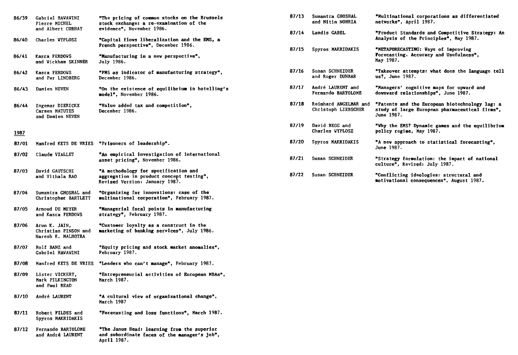| 86/39 | Gabriel HAVAVINI<br>Pierre MICHEL                           | "The pricing of common stocks on the Brussels<br>stock exchange: a re-examination of the                           | 87/13 | Sumantra GHOSHAL<br>and Nitin NOHRIA         | "Multinational corporations as differentiated<br>networks", April 1987.                                        |
|-------|-------------------------------------------------------------|--------------------------------------------------------------------------------------------------------------------|-------|----------------------------------------------|----------------------------------------------------------------------------------------------------------------|
| 86/40 | and Albert CORHAY<br>Charles WYPLOSZ                        | evidence". November 1986.<br>"Capital flows liberalization and the EMS, a                                          | 87/14 | Landis GABEL                                 | "Product Standards and Competitive Strategy: An<br>Analysis of the Principles", May 1987.                      |
| 86/41 | Kasra FERDOWS                                               | French perspective", December 1986.<br>"Manufacturing in a new perspective",                                       | 87/15 | Spyros MAKRIDAKIS                            | "METAPORECASTING: Vays of improving<br>Forecasting. Accuracy and Usefulness",<br>May 1987.                     |
|       | and Wickham SKINNER                                         | July 1986.                                                                                                         |       |                                              |                                                                                                                |
| 86/42 | Kasra FERDOWS<br>and Per LINDBERG                           | "FMS as indicator of manufacturing strategy",<br>December 1986.                                                    | 87/16 | Susan SCHNEIDER<br>and Roger DUNBAR          | "Takeover attempts: what does the language tell<br>us?. June 1987.                                             |
| 86/43 | Damien NEVEN                                                | "On the existence of equilibrium in hotelling's<br>model", November 1986.                                          | 87/17 | André LAURENT and<br>Fernando BARTOLOME      | "Managers' cognitive maps for upward and<br>downward relationships", June 1987.                                |
| 86/44 | Ingemar DIERICKX<br>Carmen MATUTES<br>and Damien NEVEN      | "Value added tax and competition",<br>December 1986.                                                               | 87/18 | Reinhard ANGELMAR and<br>Christoph LIEBSCHER | "Patents and the European biotechnology lag: a<br>study of large European pharmaceutical firms",<br>June 1987. |
| 1987  |                                                             |                                                                                                                    | 87/19 | David BEGG and<br>Charles WYPLOSZ            | "Why the EMS? Dynamic games and the equilibrium<br>policy regime. May 1987.                                    |
| 87/01 |                                                             | Manfred KETS DE VRIES "Prisoners of leadership".                                                                   | 87/20 | Spyros MAKRIDAKIS                            | "A new approach to statistical forecasting",<br>June 1987.                                                     |
| 87/02 | Claude VIALLET                                              | "An empirical investigation of international<br>asset pricing", November 1986.                                     | 87/21 | Susan SCHNEIDER                              | "Strategy formulation: the impact of national<br>culture", Revised: July 1987.                                 |
| 87/03 | David GAUTSCHI<br>and Vithala RAO                           | "A methodology for specification and<br>aggregation in product concept testing",<br>Revised Version: January 1987. | 87/22 | Susan SCHNEIDER                              | "Conflicting ideologies: structural and<br>motivational consequences", August 1987.                            |
| 87/04 | Sumantra GHOSHAL and<br>Christopher BARTLETT                | "Organizing for innovations: case of the<br>multinational corporation", February 1987.                             |       |                                              |                                                                                                                |
| 87/05 | Arnoud DE MEYER<br>and Kasra FERDOWS                        | "Managerial focal points in manufacturing<br>strategy", February 1987.                                             |       |                                              |                                                                                                                |
| 87/06 | Arun K. JAIN,<br>Christian PINSON and<br>Naresh K. MALHOTRA | "Customer loyalty as a construct in the<br>marketing of banking services", July 1986.                              |       |                                              |                                                                                                                |
| 87/07 | Rolf BANZ and<br>Gabriel HAWAWINI                           | "Equity pricing and stock market anomalies",<br>February 1987.                                                     |       |                                              |                                                                                                                |
| 87/08 | Manfred KETS DE VRIES                                       | "Leaders who can't manage", February 1987.                                                                         |       |                                              |                                                                                                                |
| 87/09 | Lister VICKERY,<br>Mark PILKINGTON<br>and Paul READ         | "Entrepreneurial activities of European MBAs",<br>March 1987.                                                      |       |                                              |                                                                                                                |
| 87/10 | André LAURENT                                               | "A cultural view of organizational change",<br>March 1987                                                          |       |                                              |                                                                                                                |
| 87/11 | Robert FILDES and<br>Spyros MAKRIDAKIS                      | "Forecasting and loss functions", March 1987.                                                                      |       |                                              |                                                                                                                |
| 87/12 | Fernando BARTOLOME<br>and André LAURENT                     | "The Janus Head: learning from the superior<br>and subordinate faces of the manager's job",                        |       |                                              |                                                                                                                |

**April 1987.**